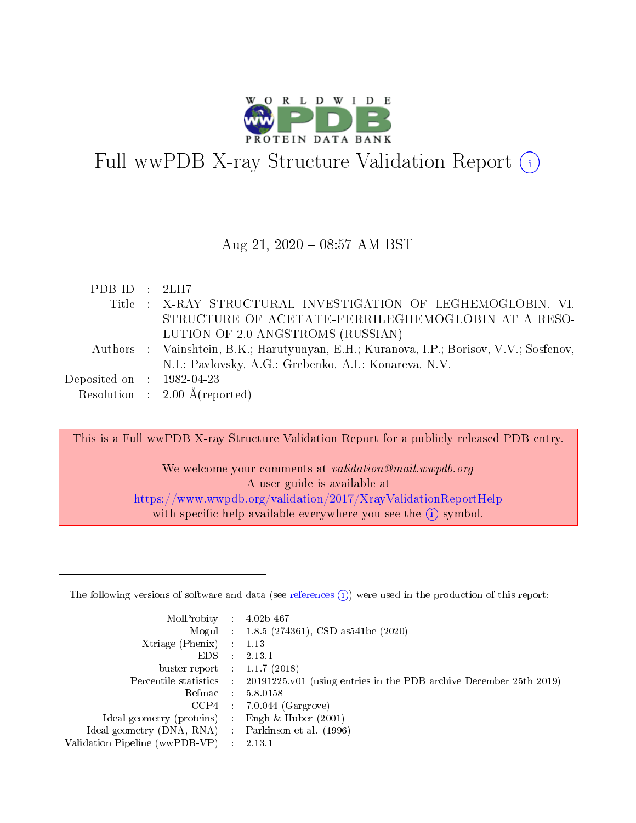

# Full wwPDB X-ray Structure Validation Report  $(i)$

#### Aug 21,  $2020 - 08:57$  AM BST

| PDB ID : $2LH7$             |                                                                                         |
|-----------------------------|-----------------------------------------------------------------------------------------|
|                             | Title: X-RAY STRUCTURAL INVESTIGATION OF LEGHEMOGLOBIN. VI.                             |
|                             | STRUCTURE OF ACETATE-FERRILEGHEMOGLOBIN AT A RESO-                                      |
|                             | LUTION OF 2.0 ANGSTROMS (RUSSIAN)                                                       |
|                             | Authors : Vainshtein, B.K.; Harutyunyan, E.H.; Kuranova, I.P.; Borisov, V.V.; Sosfenov, |
|                             | N.I.; Pavlovsky, A.G.; Grebenko, A.I.; Konareva, N.V.                                   |
| Deposited on : $1982-04-23$ |                                                                                         |
|                             | Resolution : $2.00 \text{ Å}$ (reported)                                                |

This is a Full wwPDB X-ray Structure Validation Report for a publicly released PDB entry.

We welcome your comments at *validation@mail.wwpdb.org* A user guide is available at <https://www.wwpdb.org/validation/2017/XrayValidationReportHelp> with specific help available everywhere you see the  $(i)$  symbol.

The following versions of software and data (see [references](https://www.wwpdb.org/validation/2017/XrayValidationReportHelp#references)  $(1)$ ) were used in the production of this report:

| MolProbity                     | $\mathcal{A}$ . | $4.02b-467$                                                        |
|--------------------------------|-----------------|--------------------------------------------------------------------|
|                                |                 | Mogul : 1.8.5 (274361), CSD as 541 be (2020)                       |
| Xtriage (Phenix)               | $\sim 10^{11}$  | 1.13                                                               |
| EDS.                           |                 | 2.13.1                                                             |
| buster-report : $1.1.7$ (2018) |                 |                                                                    |
| Percentile statistics :        |                 | 20191225.v01 (using entries in the PDB archive December 25th 2019) |
| Refmac :                       |                 | 5.8.0158                                                           |
| CCP4                           |                 | $7.0.044$ (Gargrove)                                               |
| Ideal geometry (proteins) :    |                 | Engh $\&$ Huber (2001)                                             |
| Ideal geometry (DNA, RNA) :    |                 | Parkinson et al. (1996)                                            |
| Validation Pipeline (wwPDB-VP) |                 | 2.13.1                                                             |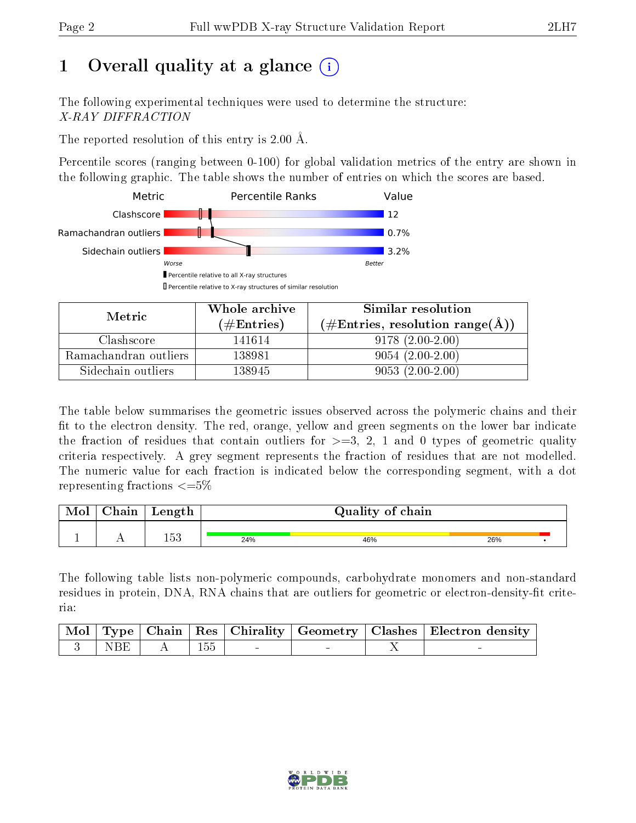# 1 [O](https://www.wwpdb.org/validation/2017/XrayValidationReportHelp#overall_quality)verall quality at a glance  $(i)$

The following experimental techniques were used to determine the structure: X-RAY DIFFRACTION

The reported resolution of this entry is 2.00 Å.

Percentile scores (ranging between 0-100) for global validation metrics of the entry are shown in the following graphic. The table shows the number of entries on which the scores are based.



| Metric                | Whole archive<br>(# $\rm{Entries}$ ) | Similar resolution<br>$(\#\text{Entries}, \text{resolution range}(\text{\AA}) )$ |
|-----------------------|--------------------------------------|----------------------------------------------------------------------------------|
| Clashscore            | 141614                               | $9178(2.00-2.00)$                                                                |
| Ramachandran outliers | 138981                               | $9054(2.00-2.00)$                                                                |
| Sidechain outliers    | 138945                               | $9053(2.00-2.00)$                                                                |

The table below summarises the geometric issues observed across the polymeric chains and their fit to the electron density. The red, orange, yellow and green segments on the lower bar indicate the fraction of residues that contain outliers for  $\geq=3$ , 2, 1 and 0 types of geometric quality criteria respectively. A grey segment represents the fraction of residues that are not modelled. The numeric value for each fraction is indicated below the corresponding segment, with a dot representing fractions  $\leq=5\%$ 

| Mol | Chain | Length |     | Quality of chain |     |  |
|-----|-------|--------|-----|------------------|-----|--|
|     |       | につ     | 24% | 46%              | 26% |  |

The following table lists non-polymeric compounds, carbohydrate monomers and non-standard residues in protein, DNA, RNA chains that are outliers for geometric or electron-density-fit criteria:

|                    |  |  | Mol   Type   Chain   Res   Chirality   Geometry   Clashes   Electron density |
|--------------------|--|--|------------------------------------------------------------------------------|
| $'$ NBE $_{\perp}$ |  |  |                                                                              |

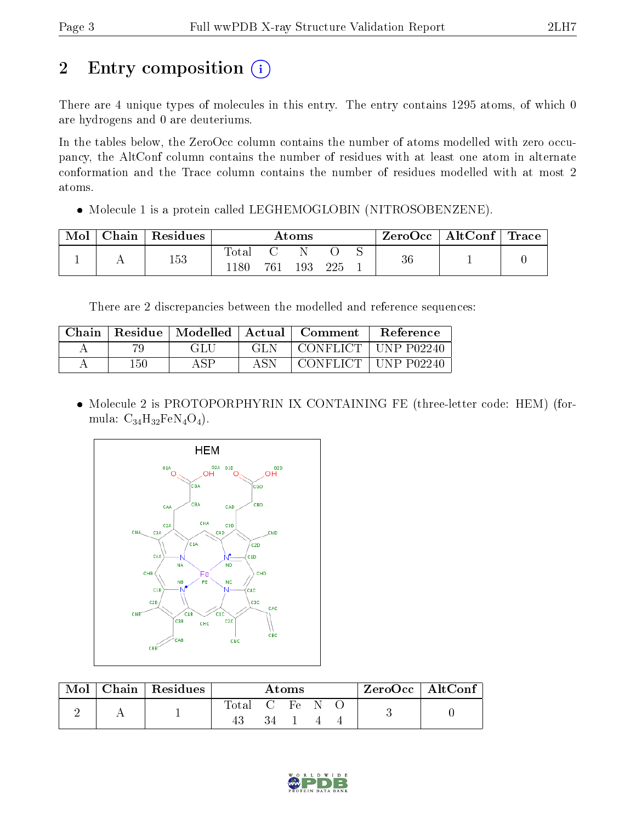# 2 Entry composition (i)

There are 4 unique types of molecules in this entry. The entry contains 1295 atoms, of which 0 are hydrogens and 0 are deuteriums.

In the tables below, the ZeroOcc column contains the number of atoms modelled with zero occupancy, the AltConf column contains the number of residues with at least one atom in alternate conformation and the Trace column contains the number of residues modelled with at most 2 atoms.

 $\bullet$  Molecule 1 is a protein called LEGHEMOGLOBIN (NITROSOBENZENE).

| Mol | Chain   Residues | $\rm{Atoms}$      |     |     | $\text{ZeroOcc} \mid \text{AltConf} \mid \text{Trace}$ |  |    |  |
|-----|------------------|-------------------|-----|-----|--------------------------------------------------------|--|----|--|
|     | 153              | Total<br>$1180\,$ | 761 | 193 | 225                                                    |  | 36 |  |

There are 2 discrepancies between the modelled and reference sequences:

| Chain |         | Residue   Modelled | Actual | <b>Comment</b>          | <b>Reference</b> |
|-------|---------|--------------------|--------|-------------------------|------------------|
| А     |         | GLU                | GL N   | $^+$ CONFLICT $\perp$ . | ⊺ UNP-P02240-    |
|       | $150\,$ | A CD               | ASN    | CONFLICT +              | UNP P02240       |

 Molecule 2 is PROTOPORPHYRIN IX CONTAINING FE (three-letter code: HEM) (formula:  $C_{34}H_{32}FeN_4O_4$ .



| Mol | Chain   Residues | Atoms |            |  |  | ZeroOcc   AltConf |  |
|-----|------------------|-------|------------|--|--|-------------------|--|
|     |                  | Total | C Fe<br>34 |  |  |                   |  |

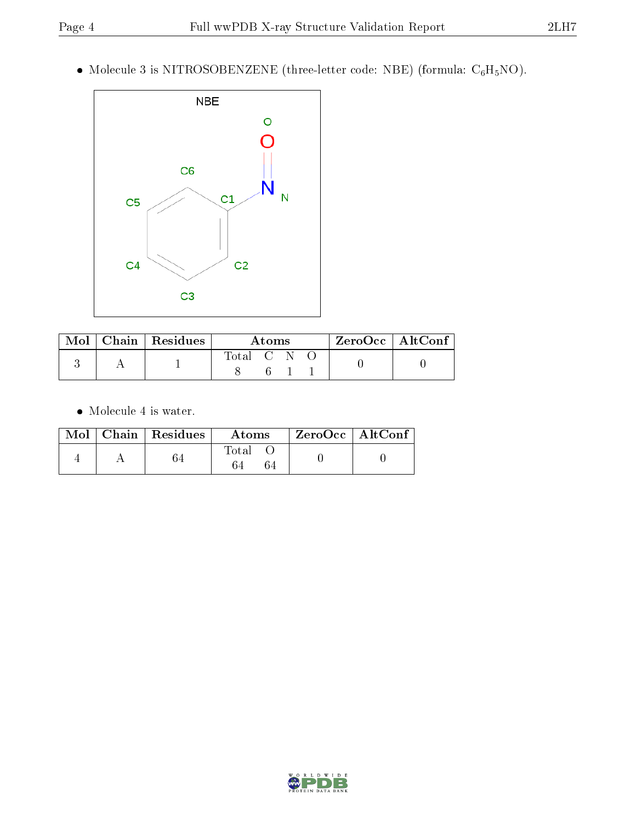$\bullet$  Molecule 3 is NITROSOBENZENE (three-letter code: NBE) (formula:  $\mathrm{C}_6\mathrm{H}_5\mathrm{NO})$ .



|  | Mol   Chain   Residues | <b>Atoms</b> |  |  | $^\top$ ZeroOcc $\overline{\phantom{a}}$ AltConf $\overline{\phantom{a}}$ |  |
|--|------------------------|--------------|--|--|---------------------------------------------------------------------------|--|
|  |                        | Total C N O  |  |  |                                                                           |  |

 $\bullet\,$  Molecule 4 is water.

|  | $\text{Mol}$   Chain   Residues | Atoms | $ZeroOcc \mid AltConf \mid$ |  |
|--|---------------------------------|-------|-----------------------------|--|
|  |                                 | Total |                             |  |

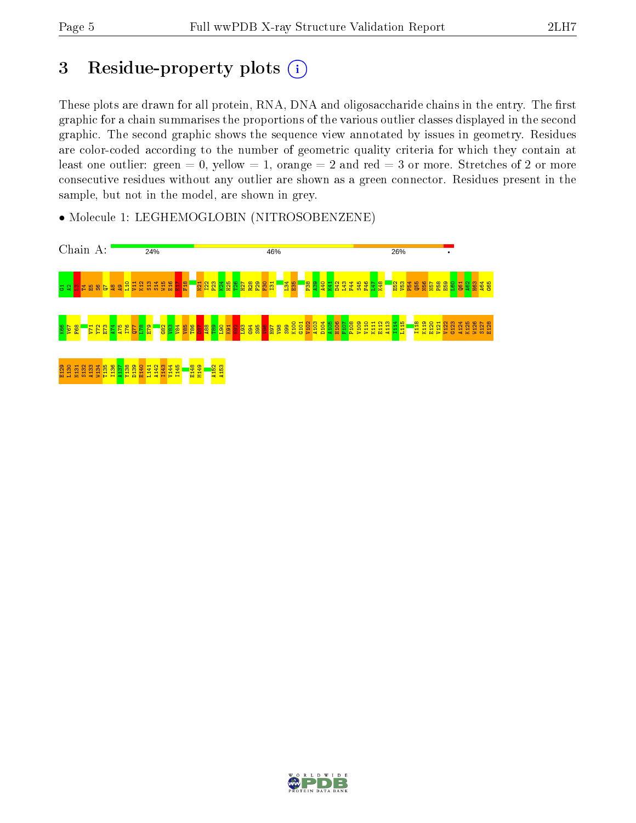# 3 Residue-property plots (i)

These plots are drawn for all protein, RNA, DNA and oligosaccharide chains in the entry. The first graphic for a chain summarises the proportions of the various outlier classes displayed in the second graphic. The second graphic shows the sequence view annotated by issues in geometry. Residues are color-coded according to the number of geometric quality criteria for which they contain at least one outlier: green  $= 0$ , yellow  $= 1$ , orange  $= 2$  and red  $= 3$  or more. Stretches of 2 or more consecutive residues without any outlier are shown as a green connector. Residues present in the sample, but not in the model, are shown in grey.



• Molecule 1: LEGHEMOGLOBIN (NITROSOBENZENE)

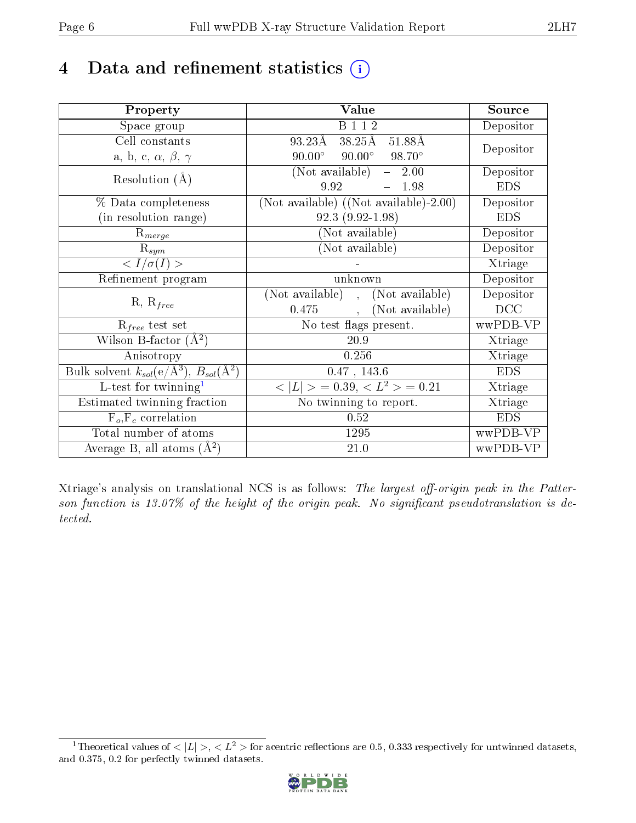# 4 Data and refinement statistics  $(i)$

| Property                                                             | Value                                           | Source     |
|----------------------------------------------------------------------|-------------------------------------------------|------------|
| Space group                                                          | <b>B</b> 1 1 2                                  | Depositor  |
| Cell constants                                                       | 93.23Å<br>38.25Å<br>51.88Å                      | Depositor  |
| a, b, c, $\alpha$ , $\beta$ , $\gamma$                               | $90.00^{\circ}$ $90.00^{\circ}$ $98.70^{\circ}$ |            |
| Resolution $(A)$                                                     | (Not available)<br>$-2.00$                      | Depositor  |
|                                                                      | 9.92<br>1.98                                    | <b>EDS</b> |
| % Data completeness                                                  | (Not available) $((Not available)-2.00)$        | Depositor  |
| (in resolution range)                                                | $92.3(9.92 - 1.98)$                             | <b>EDS</b> |
| $R_{merge}$                                                          | (Not available)                                 | Depositor  |
| $\mathrm{R}_{sym}$                                                   | (Not available)                                 | Depositor  |
| $\langle I/\sigma(I)\rangle$                                         |                                                 | Xtriage    |
| Refinement program                                                   | unknown                                         | Depositor  |
| $R, R_{free}$                                                        | (Not available), (Not available)                | Depositor  |
|                                                                      | (Not available)<br>$0.475$ ,                    | DCC        |
| $R_{free}$ test set                                                  | No test flags present.                          | wwPDB-VP   |
| Wilson B-factor $(A^2)$                                              | 20.9                                            | Xtriage    |
| Anisotropy                                                           | 0.256                                           | Xtriage    |
| Bulk solvent $k_{sol}(e/\mathring{A}^3)$ , $B_{sol}(\mathring{A}^2)$ | $0.47$ , $143.6\,$                              | <b>EDS</b> |
| L-test for twinning <sup>1</sup>                                     | $< L >$ = 0.39, $< L^2 >$ = 0.21                | Xtriage    |
| Estimated twinning fraction                                          | No twinning to report.                          | Xtriage    |
| $F_o, F_c$ correlation                                               | 0.52                                            | <b>EDS</b> |
| Total number of atoms                                                | 1295                                            | wwPDB-VP   |
| Average B, all atoms $(A^2)$                                         | 21.0                                            | wwPDB-VP   |

Xtriage's analysis on translational NCS is as follows: The largest off-origin peak in the Patterson function is  $13.07\%$  of the height of the origin peak. No significant pseudotranslation is detected.

<span id="page-5-0"></span><sup>&</sup>lt;sup>1</sup>Theoretical values of  $\langle |L| \rangle, \langle L^2 \rangle$  for acentric reflections are 0.5, 0.333 respectively for untwinned datasets, and 0.375, 0.2 for perfectly twinned datasets.

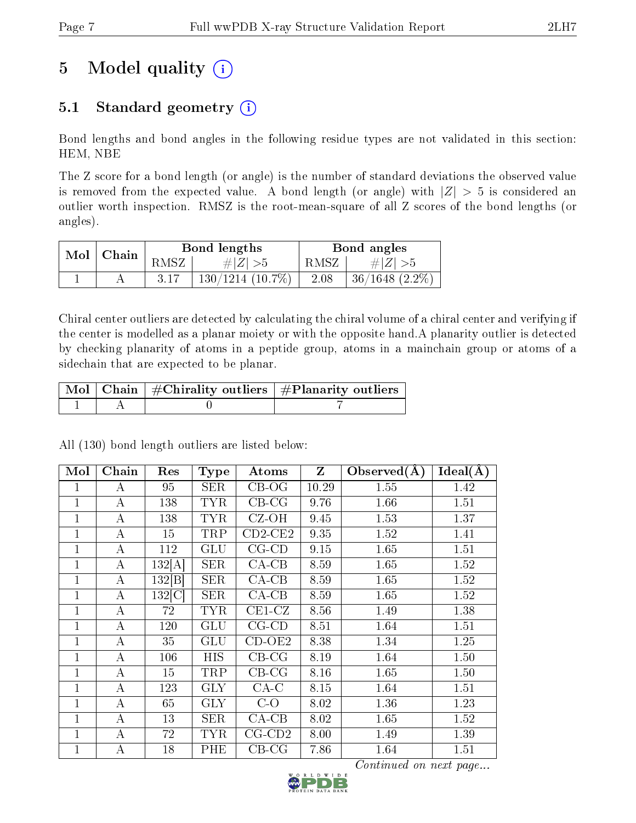# 5 Model quality  $(i)$

## 5.1 Standard geometry  $(i)$

Bond lengths and bond angles in the following residue types are not validated in this section: HEM, NBE

The Z score for a bond length (or angle) is the number of standard deviations the observed value is removed from the expected value. A bond length (or angle) with  $|Z| > 5$  is considered an outlier worth inspection. RMSZ is the root-mean-square of all Z scores of the bond lengths (or angles).

| $Mol$   Chain |      | Bond lengths       |      | Bond angles         |
|---------------|------|--------------------|------|---------------------|
|               | RMSZ | # $ Z  > 5$        | RMSZ | $\# Z  > 5$         |
|               |      | $130/1214(10.7\%)$ | 2.08 | $36/1648$ $(2.2\%)$ |

Chiral center outliers are detected by calculating the chiral volume of a chiral center and verifying if the center is modelled as a planar moiety or with the opposite hand.A planarity outlier is detected by checking planarity of atoms in a peptide group, atoms in a mainchain group or atoms of a sidechain that are expected to be planar.

|  | $\mid$ Mol $\mid$ Chain $\mid$ #Chirality outliers $\mid$ #Planarity outliers $\mid$ |
|--|--------------------------------------------------------------------------------------|
|  |                                                                                      |

| Mol            | Chain | Res    | <b>Type</b> | Atoms        | Z     | Observed $(A)$ | Ideal(A) |
|----------------|-------|--------|-------------|--------------|-------|----------------|----------|
| $\mathbf{1}$   | А     | 95     | SER         | $CB-OG$      | 10.29 | 1.55           | 1.42     |
| $\mathbf{1}$   | А     | 138    | <b>TYR</b>  | $CB-CG$      | 9.76  | 1.66           | 1.51     |
| $\mathbf 1$    | A     | 138    | <b>TYR</b>  | $CZ-OH$      | 9.45  | 1.53           | 1.37     |
| 1              | А     | 15     | TRP         | $CD2-CE2$    | 9.35  | 1.52           | 1.41     |
| 1              | А     | 112    | GLU         | $CG$ - $CD$  | 9.15  | 1.65           | 1.51     |
| 1              | А     | 132[A] | <b>SER</b>  | $CA-CB$      | 8.59  | 1.65           | 1.52     |
| 1              | А     | 132 B  | <b>SER</b>  | $CA-CB$      | 8.59  | 1.65           | 1.52     |
| $\mathbf{1}$   | А     | 132 C  | SER         | $CA-CB$      | 8.59  | 1.65           | 1.52     |
| $\mathbf{1}$   | А     | 72     | <b>TYR</b>  | $CE1-CZ$     | 8.56  | 1.49           | 1.38     |
| $\overline{1}$ | А     | 120    | <b>GLU</b>  | $CG-CD$      | 8.51  | 1.64           | 1.51     |
| $\mathbf{1}$   | А     | 35     | GLU         | $CD-OE2$     | 8.38  | 1.34           | 1.25     |
| $\mathbf{1}$   | А     | 106    | <b>HIS</b>  | $CB-CG$      | 8.19  | 1.64           | 1.50     |
| $\mathbf{1}$   | А     | 15     | TRP         | $CB-CG$      | 8.16  | 1.65           | 1.50     |
| $\mathbf{1}$   | А     | 123    | <b>GLY</b>  | $CA-C$       | 8.15  | 1.64           | 1.51     |
| $\mathbf{1}$   | А     | 65     | <b>GLY</b>  | $C-O$        | 8.02  | 1.36           | 1.23     |
| 1              | А     | 13     | SER         | $CA-CB$      | 8.02  | 1.65           | 1.52     |
| $\mathbf{1}$   | A     | 72     | <b>TYR</b>  | $CG$ - $CD2$ | 8.00  | 1.49           | 1.39     |
| 1              | А     | 18     | PHE         | $CB-CG$      | 7.86  | 1.64           | 1.51     |

All (130) bond length outliers are listed below:

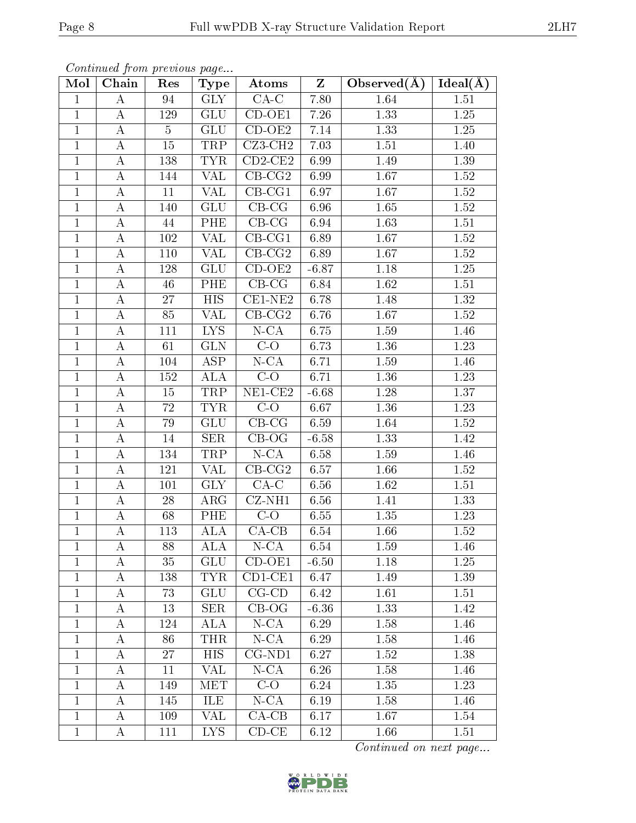| Mol            | Chain            | Res            | <b>Type</b>             | Atoms                      | $\mathbf{Z}$ | Observed $(A)$ | $Ideal(\AA)$      |
|----------------|------------------|----------------|-------------------------|----------------------------|--------------|----------------|-------------------|
| $\mathbf{1}$   | A                | 94             | <b>GLY</b>              | $\overline{CA-C}$          | 7.80         | 1.64           | 1.51              |
| $\mathbf 1$    | $\bf{A}$         | 129            | <b>GLU</b>              | $CD-OE1$                   | 7.26         | 1.33           | 1.25              |
| $\mathbf{1}$   | $\bf{A}$         | $\overline{5}$ | <b>GLU</b>              | $CD-OE2$                   | 7.14         | 1.33           | 1.25              |
| $\mathbf{1}$   | $\bf{A}$         | 15             | TRP                     | CZ3-CH2                    | 7.03         | 1.51           | 1.40              |
| $\mathbf{1}$   | $\bf{A}$         | 138            | <b>TYR</b>              | $CD2-CE2$                  | 6.99         | 1.49           | 1.39              |
| $\mathbf 1$    | A                | 144            | <b>VAL</b>              | $CB-CG2$                   | 6.99         | 1.67           | 1.52              |
| $\mathbf{1}$   | $\bf{A}$         | 11             | VAL                     | $CB-CG1$                   | 6.97         | 1.67           | 1.52              |
| $\mathbf{1}$   | $\boldsymbol{A}$ | 140            | GLU                     | $\overline{\text{CB-CG}}$  | 6.96         | $1.65\,$       | $1.52\,$          |
| $\mathbf{1}$   | $\bf{A}$         | 44             | PHE                     | $CB-CG$                    | 6.94         | 1.63           | 1.51              |
| $\overline{1}$ | $\overline{A}$   | $102\,$        | <b>VAL</b>              | $CB-CG1$                   | 6.89         | 1.67           | $\overline{1.52}$ |
| $\overline{1}$ | $\boldsymbol{A}$ | 110            | <b>VAL</b>              | $CB-CG2$                   | 6.89         | 1.67           | $1.52\,$          |
| $\mathbf{1}$   | $\boldsymbol{A}$ | 128            | GLU                     | $CD-OE2$                   | $-6.87$      | 1.18           | $1.25\,$          |
| $\mathbf{1}$   | $\bf{A}$         | 46             | PHE                     | $CB-CG$                    | 6.84         | 1.62           | 1.51              |
| $\mathbf{1}$   | $\bf{A}$         | 27             | ${\rm HIS}$             | $CE1-NE2$                  | 6.78         | 1.48           | 1.32              |
| $\overline{1}$ | $\overline{A}$   | 85             | $\overline{\text{VAL}}$ | $CB-CG2$                   | 6.76         | 1.67           | 1.52              |
| $\mathbf{1}$   | $\bf{A}$         | 111            | <b>LYS</b>              | $N$ -CA                    | 6.75         | 1.59           | 1.46              |
| $\mathbf{1}$   | $\bf{A}$         | 61             | <b>GLN</b>              | $C-O$                      | 6.73         | 1.36           | 1.23              |
| $\mathbf{1}$   | $\bf{A}$         | 104            | <b>ASP</b>              | $N$ -CA                    | 6.71         | 1.59           | 1.46              |
| $\mathbf{1}$   | $\bf{A}$         | 152            | <b>ALA</b>              | $C-O$                      | 6.71         | 1.36           | 1.23              |
| $\overline{1}$ | $\bf{A}$         | 15             | <b>TRP</b>              | $NE1$ -CE2                 | $-6.68$      | 1.28           | 1.37              |
| $\mathbf{1}$   | $\bf{A}$         | 72             | <b>TYR</b>              | $C-O$                      | 6.67         | 1.36           | 1.23              |
| $\mathbf{1}$   | $\bf{A}$         | 79             | GLU                     | $\overline{CB}$ -CG        | 6.59         | 1.64           | 1.52              |
| $\mathbf 1$    | $\bf{A}$         | 14             | <b>SER</b>              | $CB-OG$                    | $-6.58$      | 1.33           | 1.42              |
| $\mathbf{1}$   | $\bf{A}$         | 134            | TRP                     | $N$ -CA                    | 6.58         | 1.59           | 1.46              |
| $\mathbf{1}$   | $\boldsymbol{A}$ | 121            | VAL                     | $\overline{\text{CB-CG2}}$ | 6.57         | 1.66           | 1.52              |
| $\mathbf{1}$   | $\bf{A}$         | 101            | <b>GLY</b>              | $CA-C$                     | 6.56         | 1.62           | 1.51              |
| $\mathbf{1}$   | $\bf{A}$         | 28             | $\rm{ARG}$              | $CZ-NH1$                   | 6.56         | 1.41           | 1.33              |
| $\mathbf{1}$   | $\bf{A}$         | 68             | PHE                     | $C-O$                      | 6.55         | 1.35           | 1.23              |
| $\mathbf{1}$   | $\bf{A}$         | 113            | $\rm ALA$               | $CA-CB$                    | 6.54         | 1.66           | 1.52              |
| $\perp$        | А                | 88             | $\overline{ALA}$        | $N$ -CA                    | 6.54         | 1.59           | 1.46              |
| $\mathbf{1}$   | А                | 35             | GLU                     | $CD-OE1$                   | $-6.50$      | 1.18           | 1.25              |
| $\mathbf{1}$   | $\bf{A}$         | 138            | <b>TYR</b>              | $CD1-CE1$                  | 6.47         | 1.49           | 1.39              |
| $\mathbf{1}$   | A                | 73             | GLU                     | $CG$ - $CD$                | 6.42         | 1.61           | 1.51              |
| $\mathbf{1}$   | А                | 13             | $\rm{SER}$              | $\overline{CB}$ -OG        | $-6.36$      | 1.33           | 1.42              |
| $\mathbf{1}$   | Α                | 124            | ALA                     | $N$ -CA                    | 6.29         | 1.58           | 1.46              |
| 1              | A                | 86             | THR                     | $N$ -CA                    | 6.29         | 1.58           | 1.46              |
| $\mathbf{1}$   | A                | 27             | <b>HIS</b>              | $CG-ND1$                   | 6.27         | 1.52           | 1.38              |
| $\mathbf{1}$   | A                | 11             | VAL                     | $N$ -CA                    | 6.26         | 1.58           | 1.46              |
| $\mathbf{1}$   | А                | 149            | <b>MET</b>              | $C-O$                      | 6.24         | 1.35           | 1.23              |
| $\mathbf 1$    | Α                | 145            | ILE                     | $N$ -CA                    | 6.19         | 1.58           | 1.46              |
| $\mathbf{1}$   | Α                | 109            | VAL                     | $CA-CB$                    | 6.17         | 1.67           | 1.54              |
| $\mathbf{1}$   | A                | 111            | LYS.                    | $CD-CE$                    | 6.12         | 1.66           | 1.51              |

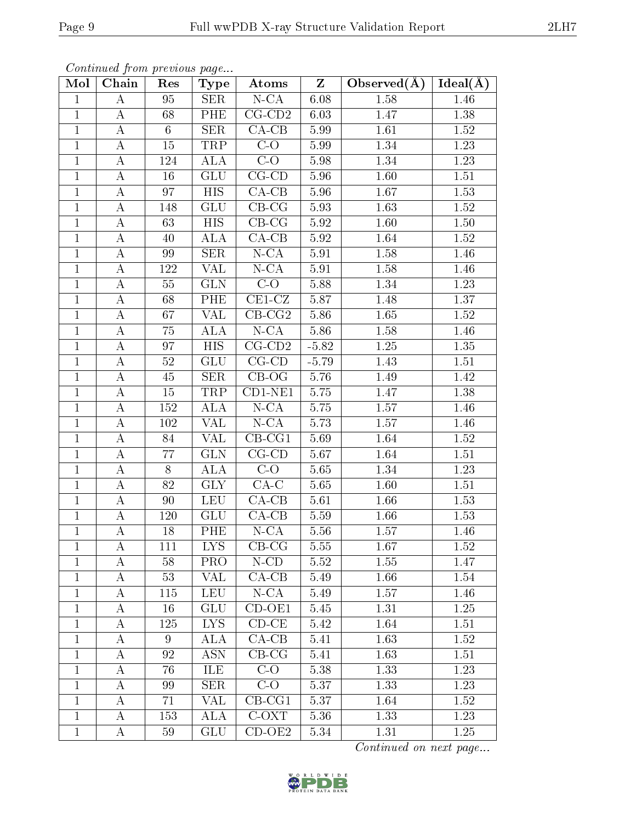| Mol          | Chain            | Res            | <b>Type</b>               | Atoms               | Z        | Observed $(A)$ | Ideal(A)          |
|--------------|------------------|----------------|---------------------------|---------------------|----------|----------------|-------------------|
| $\mathbf{1}$ | A                | 95             | SER                       | $N$ -CA             | 6.08     | 1.58           | 1.46              |
| $\mathbf{1}$ | $\bf{A}$         | 68             | <b>PHE</b>                | $CG$ - $CD2$        | 6.03     | 1.47           | $1.38\,$          |
| $\mathbf{1}$ | $\boldsymbol{A}$ | $6\phantom{.}$ | <b>SER</b>                | $CA-CB$             | 5.99     | 1.61           | 1.52              |
| $\mathbf{1}$ | A                | 15             | TRP                       | $C-O$               | 5.99     | 1.34           | $1.23\,$          |
| $\mathbf{1}$ | $\bf{A}$         | 124            | ALA                       | $C-O$               | 5.98     | 1.34           | 1.23              |
| $\mathbf{1}$ | $\boldsymbol{A}$ | 16             | GLU                       | $CG-CD$             | 5.96     | 1.60           | $1.51\,$          |
| $\mathbf{1}$ | $\bf{A}$         | 97             | <b>HIS</b>                | $CA-CB$             | 5.96     | 1.67           | 1.53              |
| $\mathbf{1}$ | $\overline{A}$   | 148            | GLU                       | $CB-CG$             | 5.93     | 1.63           | $\overline{1.52}$ |
| $\mathbf{1}$ | $\bf{A}$         | 63             | HIS                       | $CB-CG$             | 5.92     | 1.60           | $1.50\,$          |
| $\mathbf{1}$ | $\boldsymbol{A}$ | 40             | <b>ALA</b>                | $CA-CB$             | 5.92     | 1.64           | $\overline{1.52}$ |
| $\mathbf{1}$ | $\bf{A}$         | 99             | <b>SER</b>                | $N$ -CA             | 5.91     | 1.58           | 1.46              |
| $\mathbf{1}$ | $\bf{A}$         | 122            | <b>VAL</b>                | $N$ -CA             | 5.91     | 1.58           | 1.46              |
| $\mathbf{1}$ | $\bf{A}$         | 55             | GLN                       | $\overline{C-O}$    | 5.88     | 1.34           | $1.23\,$          |
| $\mathbf{1}$ | $\boldsymbol{A}$ | 68             | PHE                       | $CE1-CZ$            | 5.87     | 1.48           | 1.37              |
| $\mathbf{1}$ | $\bf{A}$         | 67             | <b>VAL</b>                | $CB-CG2$            | 5.86     | 1.65           | $1.52\,$          |
| $\mathbf{1}$ | $\boldsymbol{A}$ | 75             | <b>ALA</b>                | $N$ -CA             | 5.86     | 1.58           | 1.46              |
| $\mathbf{1}$ | $\bf{A}$         | 97             | <b>HIS</b>                | $CG$ - $CD2$        | $-5.82$  | 1.25           | 1.35              |
| $\mathbf{1}$ | $\bf{A}$         | 52             | $\overline{\mathrm{GLU}}$ | $CG-CD$             | $-5.79$  | 1.43           | $1.51\,$          |
| $\mathbf{1}$ | $\bf{A}$         | 45             | <b>SER</b>                | $CB-OG$             | 5.76     | 1.49           | 1.42              |
| $\mathbf{1}$ | A                | 15             | <b>TRP</b>                | $CD1-NE1$           | 5.75     | 1.47           | $1.38\,$          |
| $\mathbf{1}$ | $\bf{A}$         | 152            | ALA                       | $N$ -CA             | 5.75     | 1.57           | 1.46              |
| $\mathbf{1}$ | A                | 102            | VAL                       | $N$ -CA             | 5.73     | 1.57           | 1.46              |
| $\mathbf{1}$ | A                | 84             | VAL                       | $CB-CG1$            | 5.69     | 1.64           | $1.52\,$          |
| $\mathbf{1}$ | $\bf{A}$         | 77             | <b>GLN</b>                | $\overline{CG}$ -CD | 5.67     | 1.64           | 1.51              |
| $\mathbf{1}$ | $\boldsymbol{A}$ | 8              | ALA                       | $\overline{C-O}$    | 5.65     | 1.34           | $\overline{1.23}$ |
| $\mathbf{1}$ | $\bf{A}$         | 82             | <b>GLY</b>                | $CA-C$              | 5.65     | 1.60           | 1.51              |
| $\mathbf{1}$ | $\overline{A}$   | 90             | <b>LEU</b>                | $CA-CB$             | $5.61\,$ | 1.66           | $\overline{1.53}$ |
| $\mathbf{1}$ | $\bf{A}$         | 120            | GLU                       | $CA-CB$             | 5.59     | 1.66           | 1.53              |
| $\mathbf{1}$ | $\boldsymbol{A}$ | 18             | PHE                       | $N$ -CA             | 5.56     | 1.57           | 1.46              |
| $\perp$      | A                | 111            | $\overline{\text{LYS}}$   | $CB-CG$             | 5.55     | 1.67           | 1.52              |
| $\mathbf{1}$ | A                | 58             | PRO                       | $N$ -CD             | 5.52     | 1.55           | 1.47              |
| 1            | A                | 53             | VAL                       | $CA-CB$             | 5.49     | 1.66           | 1.54              |
| $\mathbf{1}$ | A                | 115            | <b>LEU</b>                | $N$ -CA             | 5.49     | 1.57           | 1.46              |
| 1            | A                | 16             | GLU                       | $CD-OE1$            | 5.45     | 1.31           | 1.25              |
| $\mathbf{1}$ | А                | 125            | LYS.                      | $CD-CE$             | 5.42     | 1.64           | 1.51              |
| $\mathbf{1}$ | A                | 9              | ALA                       | $CA-CB$             | 5.41     | 1.63           | 1.52              |
| $\mathbf{1}$ | A                | 92             | <b>ASN</b>                | $CB-CG$             | 5.41     | 1.63           | 1.51              |
| $\mathbf{1}$ | A                | 76             | ILE                       | $C-O$               | 5.38     | 1.33           | 1.23              |
| $\mathbf{1}$ | Α                | 99             | <b>SER</b>                | $C-O$               | 5.37     | 1.33           | 1.23              |
| $\mathbf{1}$ | A                | 71             | VAL                       | $CB-CG1$            | 5.37     | 1.64           | 1.52              |
| $\mathbf{1}$ | A                | 153            | ALA                       | $C-OXT$             | 5.36     | 1.33           | 1.23              |
| 1            | A                | 59             | GLU                       | $CD-OE2$            | 5.34     | 1.31           | 1.25              |

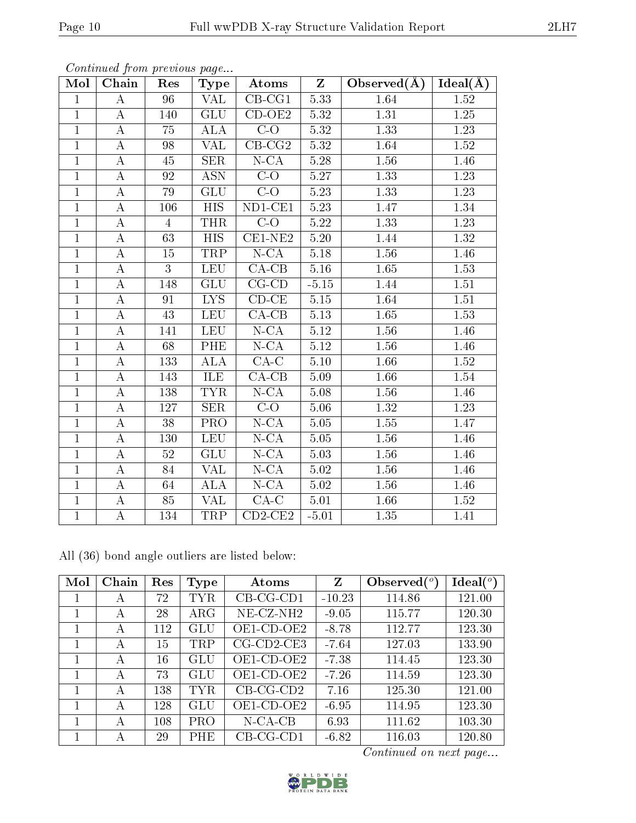| Mol            | Chain              | Res             | Type                      | $\boldsymbol{\mathrm{Atoms}}$ | $\mathbf{Z}$      | Observed $(A)$    | Ideal(A)          |
|----------------|--------------------|-----------------|---------------------------|-------------------------------|-------------------|-------------------|-------------------|
| $\mathbf{1}$   | A                  | 96              | $\overline{\text{VAL}}}$  | $\overline{\text{CB-CG1}}$    | 5.33              | 1.64              | $\overline{1.52}$ |
| $\mathbf{1}$   | Α                  | 140             | <b>GLU</b>                | $CD-OE2$                      | 5.32              | $\overline{1.31}$ | $1.25\,$          |
| $\overline{1}$ | A                  | 75              | <b>ALA</b>                | $\overline{C-O}$              | $\overline{5.32}$ | $\overline{1.33}$ | $\overline{1.23}$ |
| $\overline{1}$ | $\boldsymbol{A}$   | 98              | VAL                       | $CB-CG2$                      | 5.32              | 1.64              | $1.52\,$          |
| $\overline{1}$ | $\boldsymbol{A}$   | 45              | SER                       | $N$ -CA                       | 5.28              | 1.56              | $1.46\,$          |
| $\overline{1}$ | $\overline{\rm A}$ | 92              | $\overline{\text{ASN}}$   | $\overline{C-O}$              | 5.27              | 1.33              | 1.23              |
| $\overline{1}$ | $\boldsymbol{A}$   | 79              | GLU                       | $C-O$                         | 5.23              | 1.33              | 1.23              |
| $\mathbf{1}$   | А                  | 106             | $\overline{HIS}$          | $ND1-CE1$                     | 5.23              | 1.47              | 1.34              |
| $\mathbf{1}$   | А                  | $\overline{4}$  | <b>THR</b>                | $C-O$                         | 5.22              | 1.33              | 1.23              |
| $\overline{1}$ | A                  | 63              | $\overline{HIS}$          | $CE1-NE2$                     | 5.20              | 1.44              | 1.32              |
| $\mathbf{1}$   | $\boldsymbol{A}$   | 15              | TRP                       | $N$ -CA                       | $5.18\,$          | 1.56              | 1.46              |
| $\overline{1}$ | $\overline{A}$     | $\overline{3}$  | <b>LEU</b>                | $\overline{CA-CB}$            | 5.16              | $\overline{1.65}$ | 1.53              |
| $\overline{1}$ | A                  | 148             | $\overline{\mathrm{GLU}}$ | $CG-CD$                       | $-5.15$           | 1.44              | 1.51              |
| $\overline{1}$ | $\boldsymbol{A}$   | 91              | <b>LYS</b>                | $CD-CE$                       | $5.15\,$          | 1.64              | $1.51\,$          |
| $\mathbf{1}$   | А                  | $\overline{43}$ | <b>LEU</b>                | $\overline{CA-CB}$            | 5.13              | $\overline{1.65}$ | 1.53              |
| $\overline{1}$ | $\overline{A}$     | 141             | <b>LEU</b>                | $N$ -CA                       | 5.12              | 1.56              | 1.46              |
| $\mathbf{1}$   | A                  | 68              | <b>PHE</b>                | $N$ -CA                       | $5.12\,$          | 1.56              | 1.46              |
| $\overline{1}$ | $\overline{\rm A}$ | 133             | $\overline{\rm ALA}$      | $\overline{\text{CA-C}}$      | $5.10\,$          | 1.66              | $1.52\,$          |
| $\mathbf{1}$   | $\boldsymbol{A}$   | 143             | ILE                       | $CA$ -CB                      | 5.09              | 1.66              | 1.54              |
| $\mathbf{1}$   | А                  | 138             | <b>TYR</b>                | $N$ -CA                       | 5.08              | 1.56              | 1.46              |
| $\mathbf{1}$   | A                  | 127             | <b>SER</b>                | $\overline{C}$                | 5.06              | 1.32              | $1.23\,$          |
| $\mathbf{1}$   | A                  | 38              | PRO                       | $N$ -CA                       | 5.05              | 1.55              | 1.47              |
| $\overline{1}$ | A                  | 130             | <b>LEU</b>                | $N$ -CA                       | 5.05              | 1.56              | 1.46              |
| $\overline{1}$ | $\boldsymbol{A}$   | $52\,$          | <b>GLU</b>                | $N - CA$                      | 5.03              | 1.56              | 1.46              |
| $\overline{1}$ | $\overline{\rm A}$ | 84              | $\overline{\text{VAL}}}$  | $N$ -CA                       | 5.02              | 1.56              | 1.46              |
| $\overline{1}$ | $\boldsymbol{A}$   | 64              | <b>ALA</b>                | $N$ -CA                       | 5.02              | $1.56\,$          | 1.46              |
| $\mathbf{1}$   | А                  | 85              | $\overline{\text{VAL}}}$  | $CA-C$                        | 5.01              | 1.66              | 1.52              |
| $\overline{1}$ | А                  | 134             | TRP                       | $CD2-CE2$                     | $-5.01$           | 1.35              | 1.41              |

Continued from previous page...

All (36) bond angle outliers are listed below:

| Mol | Chain | Res | Type       | Atoms         | Z        | Observed $\binom{o}{c}$ | $\text{Ideal}({}^o)$ |
|-----|-------|-----|------------|---------------|----------|-------------------------|----------------------|
|     | А     | 72  | <b>TYR</b> | $CB-CG-CD1$   | $-10.23$ | 114.86                  | 121.00               |
|     | А     | 28  | $\rm{ARG}$ | $NE$ -CZ-NH2  | $-9.05$  | 115.77                  | 120.30               |
|     | А     | 112 | GLU        | OE1-CD-OE2    | $-8.78$  | 112.77                  | 123.30               |
|     | A     | 15  | TRP        | $CG$ -CD2-CE3 | $-7.64$  | 127.03                  | 133.90               |
|     | А     | 16  | GLU        | OE1-CD-OE2    | $-7.38$  | 114.45                  | 123.30               |
|     | A     | 73  | GLU        | $OE1$ -CD-OE2 | $-7.26$  | 114.59                  | 123.30               |
|     | А     | 138 | <b>TYR</b> | $CB-CG-CD2$   | 7.16     | 125.30                  | 121.00               |
|     | А     | 128 | GLU        | $OE1$ -CD-OE2 | $-6.95$  | 114.95                  | 123.30               |
|     | А     | 108 | <b>PRO</b> | $N$ -CA-CB    | 6.93     | 111.62                  | 103.30               |
|     | А     | 29  | PHE        | $CB-CG-CD1$   | $-6.82$  | 116.03                  | 120.80               |

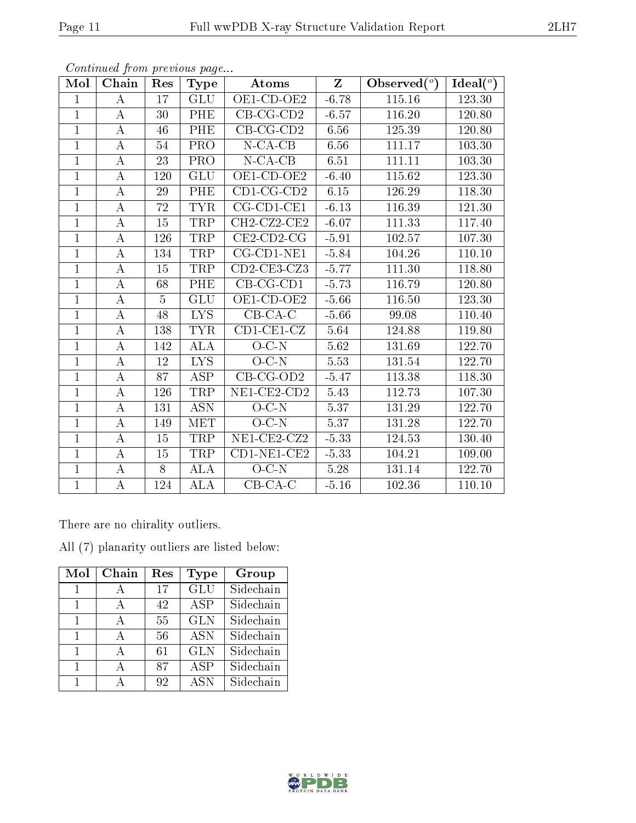| Mol            | Chain            | Res            | <b>Type</b>             | Atoms                          | $Z_{\parallel}$ | Observed $(°)$ | Ideal $(^\circ)$ |
|----------------|------------------|----------------|-------------------------|--------------------------------|-----------------|----------------|------------------|
| $\mathbf{1}$   | А                | 17             | <b>GLU</b>              | $\overline{\text{OE1-CD-OE2}}$ | $-6.78$         | 115.16         | 123.30           |
| $\overline{1}$ | $\bf{A}$         | 30             | PHE                     | $CB-CG-CD2$                    | $-6.57$         | 116.20         | 120.80           |
| $\mathbf{1}$   | $\bf{A}$         | 46             | PHE                     | $CB-CG-CD2$                    | 6.56            | 125.39         | 120.80           |
| $\mathbf{1}$   | A                | 54             | PRO                     | $N$ -CA-CB                     | 6.56            | 111.17         | 103.30           |
| $\mathbf{1}$   | $\bf{A}$         | 23             | $\overline{\text{PRO}}$ | $N$ -CA-CB                     | 6.51            | 111.11         | 103.30           |
| $\mathbf{1}$   | A                | 120            | GLU                     | $OE1$ -CD-OE2                  | $-6.40$         | 115.62         | 123.30           |
| $\mathbf{1}$   | Α                | 29             | PHE                     | $CD1$ -CG-CD2                  | $6.15\,$        | 126.29         | 118.30           |
| $\mathbf{1}$   | $\bf{A}$         | 72             | <b>TYR</b>              | $CG$ -CD1-CE1                  | $-6.13$         | 116.39         | 121.30           |
| $\mathbf{1}$   | А                | 15             | TRP                     | CH2-CZ2-CE2                    | $-6.07$         | 111.33         | 117.40           |
| $\overline{1}$ | $\boldsymbol{A}$ | 126            | <b>TRP</b>              | $CE2$ -CD2-CG                  | $-5.91$         | 102.57         | 107.30           |
| $\mathbf{1}$   | $\bf{A}$         | 134            | $\operatorname{TRP}$    | $CG$ -CD1-NE1                  | $-5.84$         | 104.26         | 110.10           |
| $\overline{1}$ | А                | 15             | TRP                     | $CD2$ -CE3-CZ3                 | $-5.77$         | 111.30         | 118.80           |
| $\overline{1}$ | A                | 68             | PHE                     | $CB-CG-CD1$                    | $-5.73$         | 116.79         | 120.80           |
| $\mathbf{1}$   | $\bf{A}$         | $\overline{5}$ | GLU                     | $\overline{\text{OE1-CD-OE2}}$ | $-5.66$         | 116.50         | 123.30           |
| $\overline{1}$ | $\bf{A}$         | 48             | $\overline{LYS}$        | $CB-CA-C$                      | $-5.66$         | 99.08          | 110.40           |
| $\mathbf{1}$   | $\bf{A}$         | 138            | <b>TYR</b>              | $CD1-CE1-CZ$                   | 5.64            | 124.88         | 119.80           |
| $\mathbf{1}$   | A                | 142            | <b>ALA</b>              | $O-C-N$                        | 5.62            | 131.69         | 122.70           |
| $\mathbf{1}$   | Α                | 12             | ${\rm LYS}$             | $O-C-N$                        | 5.53            | 131.54         | 122.70           |
| $\overline{1}$ | $\bf{A}$         | 87             | <b>ASP</b>              | $CB-CG-OD2$                    | $-5.47$         | 113.38         | 118.30           |
| $\mathbf{1}$   | A                | 126            | TRP                     | NE1-CE2-CD2                    | 5.43            | 112.73         | 107.30           |
| $\mathbf{1}$   | A                | 131            | <b>ASN</b>              | $O-C-N$                        | 5.37            | 131.29         | 122.70           |
| $\overline{1}$ | А                | 149            | MET                     | $O-C-N$                        | 5.37            | 131.28         | 122.70           |
| $\mathbf{1}$   | $\bf{A}$         | 15             | TRP                     | NE1-CE2-CZ2                    | $-5.33$         | 124.53         | 130.40           |
| $\overline{1}$ | $\bf{A}$         | 15             | <b>TRP</b>              | $CD1-NE1-CE2$                  | $-5.33$         | 104.21         | 109.00           |
| $\mathbf{1}$   | $\bf{A}$         | 8              | ALA                     | $O-C-N$                        | 5.28            | 131.14         | 122.70           |
| $\overline{1}$ | $\rm A$          | 124            | <b>ALA</b>              | $CB-CA-C$                      | $-5.16$         | 102.36         | 110.10           |

There are no chirality outliers.

All (7) planarity outliers are listed below:

| Mol          | Chain | Res | Type                    | Group     |
|--------------|-------|-----|-------------------------|-----------|
| 1            | А     | 17  | $\overline{\text{GLU}}$ | Sidechain |
| $\mathbf{1}$ | A     | 42  | <b>ASP</b>              | Sidechain |
| 1            | A     | 55  | <b>GLN</b>              | Sidechain |
| 1            | А     | 56  | <b>ASN</b>              | Sidechain |
| 1            | А     | 61  | <b>GLN</b>              | Sidechain |
| 1            |       | 87  | <b>ASP</b>              | Sidechain |
|              |       | 92  | <b>ASN</b>              | Sidechain |



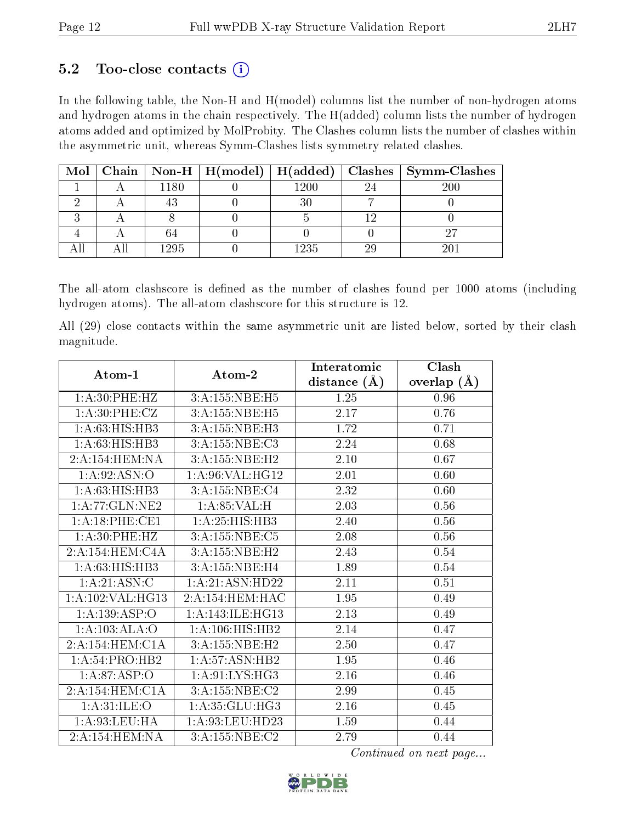### $5.2$  Too-close contacts  $(i)$

In the following table, the Non-H and H(model) columns list the number of non-hydrogen atoms and hydrogen atoms in the chain respectively. The H(added) column lists the number of hydrogen atoms added and optimized by MolProbity. The Clashes column lists the number of clashes within the asymmetric unit, whereas Symm-Clashes lists symmetry related clashes.

|  |      |          | Mol   Chain   Non-H   H(model)   H(added)   Clashes   Symm-Clashes |
|--|------|----------|--------------------------------------------------------------------|
|  | 1180 | $1200\,$ | 200                                                                |
|  |      |          |                                                                    |
|  |      |          |                                                                    |
|  |      |          |                                                                    |
|  | 1295 | 1235     |                                                                    |

The all-atom clashscore is defined as the number of clashes found per 1000 atoms (including hydrogen atoms). The all-atom clashscore for this structure is 12.

All (29) close contacts within the same asymmetric unit are listed below, sorted by their clash magnitude.

| Atom-1                    | Atom-2              | Interatomic      | Clash         |
|---------------------------|---------------------|------------------|---------------|
|                           |                     | distance $(\AA)$ | overlap $(A)$ |
| 1: A:30: PHE:HZ           | 3:A:155:NBE:H5      | 1.25             | 0.96          |
| 1:A:30:PHE:CZ             | 3:A:155:NBE:H5      | $2.17\,$         | 0.76          |
| 1: A:63: HIS: HB3         | 3:A:155:NBE:H3      | 1.72             | 0.71          |
| 1:A:63:HIS:HBB            | 3:A:155:NBE:C3      | 2.24             | 0.68          |
| 2:A:154:HEM:NA            | 3:A:155:NBE:H2      | $2.10\,$         | 0.67          |
| 1: A.92: ASN:O            | 1:A:96:VAL:HG12     | 2.01             | 0.60          |
| 1:A:63:HIS:HBB            | 3:A:155:NBE:C4      | 2.32             | 0.60          |
| 1:A:77:GLN:NE2            | 1: A:85:VAL:H       | 2.03             | 0.56          |
| 1:A:18:PHE:CE1            | 1: A:25: HIS: HB3   | 2.40             | 0.56          |
| 1: A:30: PHE:HZ           | 3:A:155:NBE:C5      | 2.08             | 0.56          |
| 2:A:154:HEM:CAA           | 3:A:155:NBE:H2      | 2.43             | 0.54          |
| 1:A:63:HIS:HB3            | 3:A:155:NBE:H4      | 1.89             | 0.54          |
| $1:A:21:\overline{ASN:C}$ | 1: A:21: ASN:HD22   | 2.11             | $0.51\,$      |
| 1:A:102:VAL:HG13          | 2:A:154:HEM:HAC     | 1.95             | 0.49          |
| 1:A:139:ASP:O             | 1: A:143: ILE: HG13 | 2.13             | 0.49          |
| 1:A:103:ALA:O             | 1:A:106:HIS:HB2     | 2.14             | 0.47          |
| 2:A:154:HEM:CAA           | 3:A:155:NBE:H2      | 2.50             | 0.47          |
| 1: A:54: PRO:HB2          | 1: A:57: ASN:HB2    | 1.95             | 0.46          |
| 1: A:87: ASP:O            | 1:A:91:LYS:HG3      | 2.16             | 0.46          |
| 2:A:154:HEM:CIA           | 3: A: 155: NBE: C2  | 2.99             | 0.45          |
| 1: A:31: ILE: O           | 1:A:35:GLU:HG3      | 2.16             | 0.45          |
| 1:A:93:LEU:HA             | 1:A:93:LEU:HD23     | 1.59             | 0.44          |
| 2:A:154:HEM:NA            | 3:A:155:NBE:C2      | 2.79             | 0.44          |

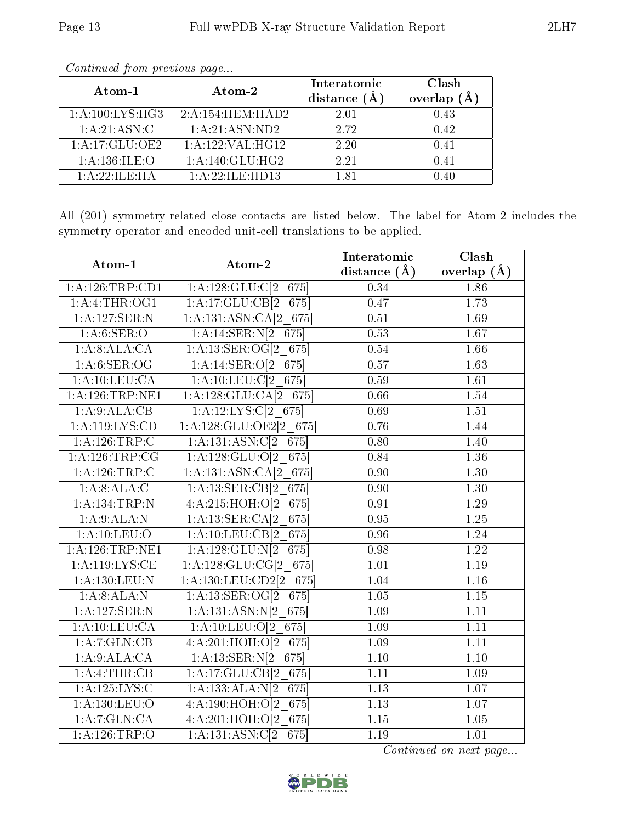| Atom-1                                     | Atom-2               | Interatomic<br>distance (Å | Clash<br>overlap<br>(A) |
|--------------------------------------------|----------------------|----------------------------|-------------------------|
| 1: A:100: LYS: HG3                         | 2:A:154:HEM:HAD2     | 2.01                       | 0.43                    |
| 1: A:21: ASN: C                            | 1:A:21:ASN:ND2       | 2.72                       | 0.42                    |
| 1: A:17: GLU:OE2                           | 1: A: 122: VAL: HG12 | 2.20                       | 0.41                    |
| 1: A:136: ILE: O                           | 1: A:140: GLU:HG2    | 2.21                       | 0.41                    |
| $1 \cdot A \cdot 22 \cdot H$ F $\cdot H$ A | 1: A:22: ILE:HD13    | 181                        | () 4()                  |

All (201) symmetry-related close contacts are listed below. The label for Atom-2 includes the symmetry operator and encoded unit-cell translations to be applied.

| Atom-1             | Atom-2                      | Interatomic       | Clash             |
|--------------------|-----------------------------|-------------------|-------------------|
|                    |                             | distance $(A)$    | overlap $(\AA)$   |
| 1:A:126:TRP:CD1    | $1:A:128:GLU:Cl2$ 675       | 0.34              | 1.86              |
| 1: A: 4: THE: OG1  | 1:A:17:GLU:CB[2 675]        | 0.47              | 1.73              |
| 1:A:127:SER:N      | 1:A:131:ASN:CA[2 675]       | $\overline{0.51}$ | 1.69              |
| 1: A:6: SER:O      | 1:A:14:SER:N[2 675]         | 0.53              | 1.67              |
| 1:A:8:ALA:CA       | 1:A:13:SER:OG[2 675]        | 0.54              | 1.66              |
| 1: A:6: SER:OG     | $1:A:14:SER:O[2_675]$       | 0.57              | $\overline{1.63}$ |
| 1:A:10:LEU:CA      | 1:A:10:LEU:C[2 675]         | 0.59              | 1.61              |
| $1:$ A:126:TRP:NE1 | 1:A:128:GLU:CA[2 675]       | 0.66              | 1.54              |
| 1:A:9:ALA:CB       | 1:A:12:LYS:C[2 675]         | 0.69              | 1.51              |
| 1: A:119: LYS:CD   | $1: A:128: GLU:OE2[2_675]$  | 0.76              | 1.44              |
| 1: A:126:TRP:C     | 1:A:131:ASN:C[2 675]        | 0.80              | 1.40              |
| 1: A:126:TRP:CG    | 1:A:128:GLU:O[2 675]        | 0.84              | 1.36              |
| 1: A:126:TRP:C     | $1:A:131:ASN:CA[2_675]$     | $\overline{0.90}$ | $\overline{1.30}$ |
| 1:A:8:ALA:C        | 1:A:13:SER:CB[2 675]        | 0.90              | 1.30              |
| 1:A:134:TRP:N      | 4:A:215:HOH:O[2 675]        | 0.91              | 1.29              |
| 1:A:9:ALA:N        | 1:A:13:SER:CA[2 675]        | 0.95              | 1.25              |
| 1: A: 10: LEU: O   | 1:A:10:LEU:CB[2 675]        | 0.96              | 1.24              |
| 1: A:126:TRP:NE1   | $1:A:128:GLU:N[2_675]$      | 0.98              | 1.22              |
| 1: A:119: LYS:CE   | $1: A: 128: GLU: CG[2_675]$ | 1.01              | 1.19              |
| 1:A:130:LEU:N      | 1:A:130:LEU:CD2[2 675]      | 1.04              | 1.16              |
| 1:A:8:ALA:N        | 1:A:13:SER:OG[2 675]        | 1.05              | 1.15              |
| 1:A:127:SER:N      | 1:A:131:ASN:N[2 675]        | 1.09              | 1.11              |
| 1: A: 10: LEU: CA  | 1:A:10:LEU:O[2 675]         | 1.09              | 1.11              |
| 1:A:7:GLN:CB       | 4:A:201:HOH:O[2_675]        | 1.09              | 1.11              |
| 1:A:9:ALA:CA       | 1:A:13:SER:N[2 675]         | $\overline{1.10}$ | $\overline{1.10}$ |
| 1:A:4:THR:CB       | 1:A:17:GLU:CB[2 675]        | 1.11              | 1.09              |
| 1:A:125:LYS:C      | 1:A:133:ALA:N[2 675]        | 1.13              | 1.07              |
| 1: A: 130: LEU: O  | 4:A:190:HOH:O[2 675]        | 1.13              | $\overline{1.07}$ |
| 1:A:7:GLN:CA       | 4:A:201:HOH:O[2 675]        | 1.15              | 1.05              |
| $1:$ A:126:TRP:O   | 1:A:131:ASN:C[2 675]        | 1.19              | 1.01              |

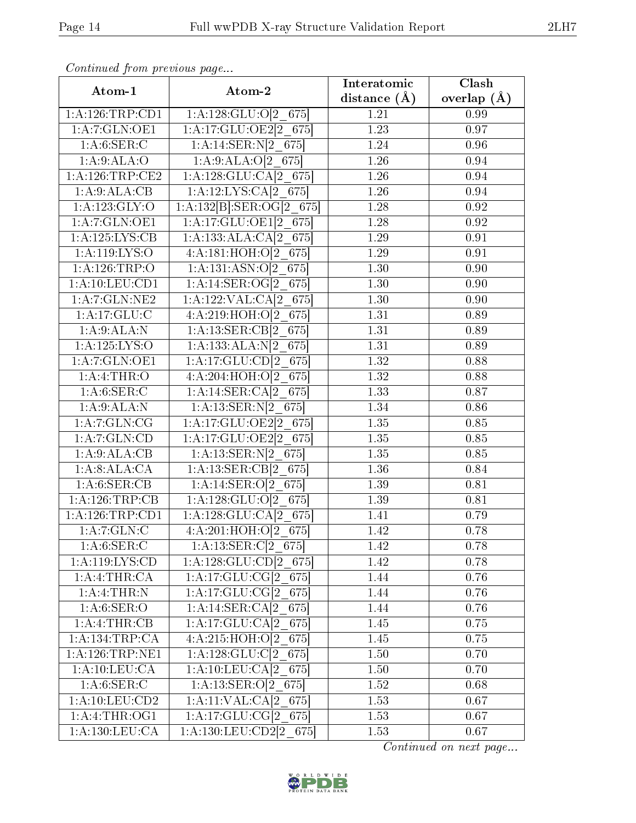| Atom-1                      | Atom-2                             | Interatomic    | Clash           |
|-----------------------------|------------------------------------|----------------|-----------------|
|                             |                                    | distance $(A)$ | overlap $(\AA)$ |
| 1:A:126:TRP:CD1             | 1:A:128:GLU:O[2 675]               | 1.21           | 0.99            |
| 1: A:7: GLN: OE1            | 1:A:17:GLU:OE2[2_675]              | 1.23           | 0.97            |
| 1: A:6: SER: C              | $1:A:14:SER:N[2_675]$              | 1.24           | 0.96            |
| 1: A:9: ALA:O               | 1:A:9:ALA:O[2 675]                 | 1.26           | 0.94            |
| 1: A: 126: TRP: CE2         | 1:A:128:GLU:CA[2 675]              | 1.26           | 0.94            |
| 1:A:9:ALA:CB                | 1:A:12:LYS:CA[2 675]               | 1.26           | 0.94            |
| 1:A:123:GLY:O               | $1:A:132[B]:SER:OG[2_675]$         | 1.28           | 0.92            |
| 1:A:7:GLN:OE1               | 1:A:17:GLU:OE1[2 675]              | 1.28           | 0.92            |
| 1: A: 125: LYS: CB          | 1:A:133:ALA:CA[2 675]              | 1.29           | 0.91            |
| 1: A:119: LYS:O             | 4:A:181:HOH:O[2 675]               | 1.29           | 0.91            |
| 1:A:126:TRP:O               | 1:A:131:ASN:O[2 675]               | 1.30           | 0.90            |
| 1: A: 10: LEU: CD1          | 1:A:14:SER:OG[2 675]               | 1.30           | 0.90            |
| 1:A:7:GLN:NE2               | 1:A:122:VAL:CA[2 675]              | 1.30           | 0.90            |
| 1:A:17:GLU:C                | $4:A:2\overline{19:HOH:O[2\;675]}$ | 1.31           | 0.89            |
| 1: A:9: ALA: N              | 1:A:13:SER:CB[2 675]               | 1.31           | 0.89            |
| 1: A: 125: LYS: O           | 1:A:133:ALA:N[2 675]               | 1.31           | 0.89            |
| 1: A:7: GLN: OE1            | 1:A:17:GLU:CD[2 675]               | 1.32           | 0.88            |
| 1:A:4:THR:O                 | 4:A:204:HOH:O[2 675]               | 1.32           | 0.88            |
| 1: A:6: SER: C              | 1:A:14:SER:CA[2 675]               | 1.33           | 0.87            |
| 1:A:9:ALA:N                 | $1:A:13:SER:N[2_675]$              | 1.34           | 0.86            |
| 1:A:7:GLN:CG                | $1:A:17:GLU:OE2[2_675]$            | 1.35           | 0.85            |
| 1:A:7:GLN:CD                | 1:A:17:GLU:OE2[2 675]              | 1.35           | 0.85            |
| 1:A:9:ALA:CB                | 1:A:13:SER:N[2 675]                | 1.35           | 0.85            |
| 1:A:8:ALA:CA                | 1:A:13:SER:CB[2 675]               | 1.36           | 0.84            |
| 1:A:6:SER:CB                | 1:A:14:SER:O[2 675]                | 1.39           | 0.81            |
| 1:A:126:TRP:CB              | 1:A:128:GLU:O[2 675]               | 1.39           | 0.81            |
| 1:A:126:TRP:CD1             | 1:A:128:GLU:CA[2 675]              | 1.41           | 0.79            |
| 1:A:7:GLN:C                 | 4:A:201:HOH:O[2 675]               | 1.42           | 0.78            |
| 1: A:6: SER: C              | $1:A:13:SER:C[2_675]$              | 1.42           | 0.78            |
| 1:A:119:LYS:CD              | $1:A:128:GLU:CD[2_675]$            | 1.42           | 0.78            |
| 1:A:4:THR:CA                | $1:A:17:GLU:CG[2_675]$             | 1.44           | 0.76            |
| 1: A:4:THR: N               | 1:A:17:GLU:CG[2 675]               | 1.44           | 0.76            |
| 1: A:6: SER:O               | 1:A:14:SER:CA[2 675]               | 1.44           | 0.76            |
| 1:A:4:THR:CB                | 1:A:17:GLU:CA[2 675]               | 1.45           | 0.75            |
| 1:A:134:TRP:CA              | $4:A:215:HOH:O[2_675]$             | 1.45           | 0.75            |
| $1:$ A:126:TRP:NE1          | $1:A:128:GLU:Cl2$ 675              | $1.50\,$       | 0.70            |
| 1:A:10:LEU:CA               | 1:A:10:LEU:CA[2 675]               | 1.50           | 0.70            |
| 1: A:6: SER:C               | $1:A:13:SER:O[2_675]$              | 1.52           | 0.68            |
| 1: A: 10: LEU: CD2          | $1:A:11:VAL:CA[2_675]$             | 1.53           | 0.67            |
| 1:A:4:THR:OG1               | 1:A:17:GLU:CG[2 675]               | 1.53           | 0.67            |
| $1:A:\overline{130:LEU:CA}$ | 1:A:130:LEU:CD2[2 675]             | 1.53           | 0.67            |

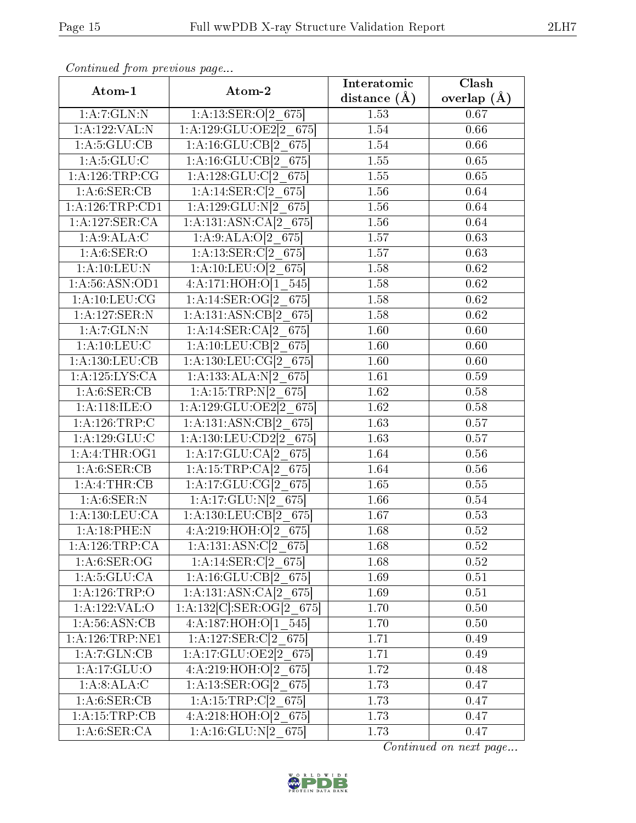| Atom-1             | Atom-2                           | Interatomic      | Clash             |
|--------------------|----------------------------------|------------------|-------------------|
|                    |                                  | distance $(\AA)$ | overlap $(\AA)$   |
| 1:A:7:GLN:N        | 1:A:13:SER:O[2 675]              | 1.53             | 0.67              |
| 1:A:122:VAL:N      | $1:A:129:GLU:OE2[2_675]$         | 1.54             | 0.66              |
| 1: A:5: GLU:CB     | 1:A:16:GLU:CB[2 675]             | 1.54             | 0.66              |
| 1: A:5: GLU: C     | 1:A:16:GLU:CB[2 675]             | 1.55             | 0.65              |
| 1:A:126:TRP:CG     | $1:A:128:GLU:Cl2$ 675            | 1.55             | 0.65              |
| 1:A:6:SER:CB       | $1:A:14:\overline{3ER:C[2] 675}$ | 1.56             | 0.64              |
| 1:A:126:TRP:CD1    | 1:A:129:GLU:N[2 675]             | 1.56             | 0.64              |
| 1: A: 127: SER: CA | 1:A:131:ASN:CA[2 675]            | 1.56             | 0.64              |
| 1: A:9:ALA:C       | $1:A:9:ALA:O[2_675]$             | 1.57             | 0.63              |
| 1: A:6: SER:O      | 1:A:13:SER:C[2 675]              | 1.57             | 0.63              |
| 1: A: 10: LEU: N   | 1:A:10:LEU:O[2 675]              | 1.58             | 0.62              |
| 1: A:56: ASN:OD1   | 4:A:171:HOH:O[1 545]             | 1.58             | 0.62              |
| 1: A: 10: LEU: CG  | 1:A:14:SER:OG[2 675]             | 1.58             | 0.62              |
| 1:A:127:SER:N      | 1:A:131:ASN:CB[2 675]            | 1.58             | $\overline{0.62}$ |
| 1: A: 7: GLN: N    | 1:A:14:SER:CA[2 675]             | 1.60             | 0.60              |
| 1: A: 10: LEU: C   | 1:A:10:LEU:CB[2 675]             | 1.60             | 0.60              |
| 1: A: 130: LEU: CB | 1:A:130:LEU:CG[2 675]            | 1.60             | 0.60              |
| 1: A: 125: LYS: CA | 1:A:133:ALA:N[2 675]             | 1.61             | 0.59              |
| 1:A:6:SER:CB       | 1:A:15:TRP:N[2 675]              | 1.62             | 0.58              |
| 1: A:118: ILE: O   | $1:A:129:GLU:OE2[2_675]$         | 1.62             | 0.58              |
| 1: A:126:TRP:C     | $1:A:131:ASN:CB[2_675]$          | 1.63             | $\overline{0.57}$ |
| 1:A:129:GLU:C      | 1:A:130:LEU:CD2[2 675]           | 1.63             | 0.57              |
| 1: A: 4: THE: OG1  | 1:A:17:GLU:CA[2 675]             | 1.64             | 0.56              |
| 1: A:6: SER:CB     | 1:A:15:TRP:CA[2 675]             | 1.64             | 0.56              |
| 1:A:4:THR:CB       | 1:A:17:GLU:CG[2 675]             | 1.65             | 0.55              |
| 1: A:6: SER: N     | 1:A:17:GLU:N[2 675]              | 1.66             | 0.54              |
| 1: A: 130: LEU: CA | 1:A:130:LEU:CB[2 675]            | 1.67             | 0.53              |
| 1: A:18:PHE:N      | 4:A:219:HOH:O[2 675]             | 1.68             | 0.52              |
| 1:A:126:TRP:CA     | 1:A:131:ASN: $C[2_675]$          | 1.68             | 0.52              |
| 1: A:6: SER:OG     | $1:A:14:SER:C[2_675]$            | 1.68             | 0.52              |
| 1: A:5: GLU: CA    | $1:A:16:GLU:CB[2_675]$           | 1.69             | 0.51              |
| 1: A:126:TRP:O     | 1:A:131:ASN:CA[2 675]            | 1.69             | 0.51              |
| 1:A:122:VAL:O      | 1:A:132[C].SER:OG[2 675]         | 1.70             | 0.50              |
| 1: A:56: ASN:CB    | 4:A:187:HOH:O[1 545]             | 1.70             | 0.50              |
| 1: A:126:TRP:NE1   | 1:A:127:SER:C[2 675]             | 1.71             | 0.49              |
| 1:A:7:GLN:CB       | 1:A:17:GLU:OE2[2 675]            | 1.71             | 0.49              |
| 1:A:17:GLU:O       | 4:A:219:HOH:O[2 675]             | 1.72             | 0.48              |
| 1: A:8:ALA:C       | $1:A:13:SER:OG[2_675]$           | 1.73             | 0.47              |
| 1: A:6: SER:CB     | $1:A:15:TRP:C[2_675]$            | 1.73             | 0.47              |
| 1:A:15:TRP:CB      | 4:A:218:HOH:O[2 675]             | 1.73             | 0.47              |
| 1: A:6: SER:CA     | 1:A:16:GLU:N[2 675]              | 1.73             | 0.47              |

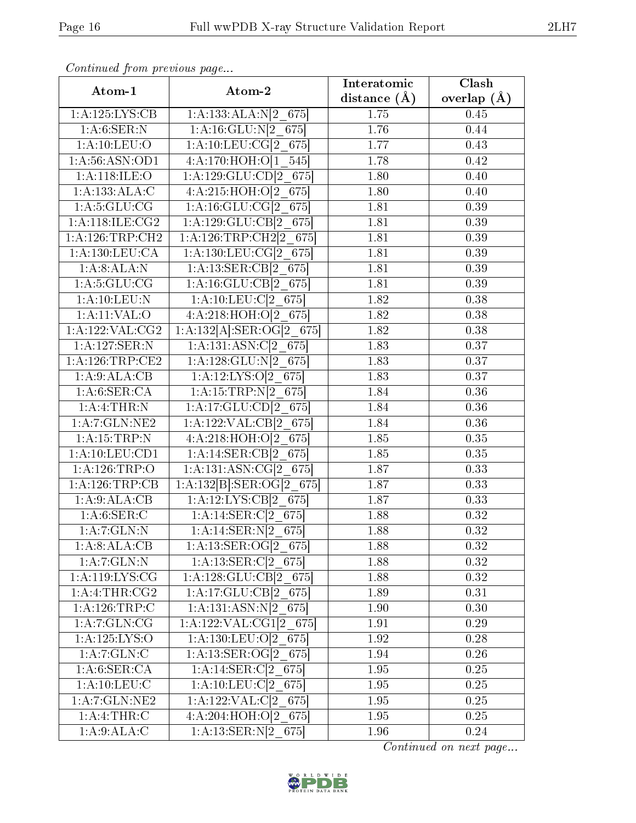| Atom-1                          | Atom-2                                       | Interatomic    | Clash             |
|---------------------------------|----------------------------------------------|----------------|-------------------|
|                                 |                                              | distance $(A)$ | overlap $(A)$     |
| 1:A:125:LYS:CB                  | 1:A:133:ALA:N[2 675]                         | 1.75           | 0.45              |
| 1: A:6:SER:N                    | 1:A:16:GLU:N[2 675]                          | 1.76           | 0.44              |
| 1: A: 10: LEU: O                | 1:A:10:LEU:CG[2 675]                         | 1.77           | 0.43              |
| 1:A:56:ASN:OD1                  | 4:A:170:HOH:O[1 545]                         | 1.78           | 0.42              |
| 1: A:118: ILE: O                | 1:A:129:GLU:CD[2 675]                        | 1.80           | 0.40              |
| 1:A:133:ALA:C                   | 4:A:215:HOH:O[2 675]                         | 1.80           | 0.40              |
| 1: A:5: GLU: CG                 | 1:A:16:GLU:CG[2 675]                         | 1.81           | 0.39              |
| 1: A:118: ILE: CG2              | 1:A:129:GLU:CB[2 675]                        | 1.81           | 0.39              |
| 1: A: 126: TRP: CH2             | 1:A:126:TRP:CH2[2 675]                       | 1.81           | 0.39              |
| 1: A: 130: LEU: CA              | 1:A:130:LEU:CG[2 675]                        | 1.81           | 0.39              |
| 1:A:8:ALA:N                     | 1:A:13:SER:CB[2 675]                         | 1.81           | 0.39              |
| 1: A:5: GLU:CG                  | 1:A:16:GLU:CB[2 675]                         | 1.81           | 0.39              |
| 1: A: 10: LEU: N                | 1:A:10:LEU:C[2 675]                          | 1.82           | 0.38              |
| 1: A:11: VAL:O                  | 4:A:218:HOH:O[2 675]                         | 1.82           | 0.38              |
| 1: A: 122: VAL: CG2             | 1:A:132[A]:SER:OG[2 675]                     | 1.82           | 0.38              |
| 1:A:127:SER:N                   | 1:A:131:ASN:C[2 675]                         | 1.83           | 0.37              |
| 1: A:126:TRP:CE2                | $1:A:128:GLU:N[2_675]$                       | 1.83           | 0.37              |
| 1:A:9:ALA:CB                    | $1:A:12:LYS:O[2_675]$                        | 1.83           | 0.37              |
| 1: A:6: SER:CA                  | 1:A:15:TRP:N[2 675]                          | 1.84           | 0.36              |
| 1:A:4:THR:N                     | 1:A:17:GLU:CD[2 675]                         | 1.84           | 0.36              |
| 1:A:7:GLN:NE2                   | 1:A:122:VAL:CB[2 675]                        | 1.84           | 0.36              |
| 1:A:15:TRP:N                    | $4:A:218:H\overline{O}H:\overline{O[2]}$ 675 | 1.85           | 0.35              |
| 1: A: 10: LEU: CD1              | 1:A:14:SER:CB[2 675]                         | 1.85           | $\overline{0.35}$ |
| 1:A:126:TRP:O                   | 1:A:131:ASN:CG[2 675]                        | 1.87           | 0.33              |
| 1: A:126:TRP:CB                 | 1:A:132[B]:SER:OG[2 675]                     | 1.87           | 0.33              |
| 1:A:9:ALA:CB                    | 1:A:12:LYS:CB[2 675]                         | 1.87           | 0.33              |
| 1: A:6: SER: C                  | 1:A:14:SER:C[2 675]                          | 1.88           | 0.32              |
| 1:A:7:GLN:N                     | $1:A:14:\overline{SER:N} [2_675]$            | 1.88           | 0.32              |
| 1: A:8:ALA:CB                   | $1:A:13:SER:OG[2_675]$                       | 1.88           | 0.32              |
| 1: A: 7: GLN: N                 | $1:A:13:SER:C[2_675]$                        | 1.88           | 0.32              |
| $1: A: 119: LYS: \overline{CG}$ | $1:A:128:GLU:CB[2_675]$                      | 1.88           | 0.32              |
| 1:A:4:THR:CG2                   | 1:A:17:GLU:CB[2 675]                         | 1.89           | 0.31              |
| 1:A:126:TRP:C                   | $1:A:131:ASN:N[2_675]$                       | 1.90           | 0.30              |
| 1:A:7:GLN:CG                    | $1:A:122:VAL:CG1[2_675]$                     | 1.91           | 0.29              |
| 1:A:125:LYS:O                   | 1:A:130:LEU:O[2 675]                         | 1.92           | 0.28              |
| 1:A:7:GLN:C                     | 1:A:13:SER:OG[2 675]                         | 1.94           | $0.26\,$          |
| 1: A:6: SER:CA                  | $1:A:14:SER:C[2_675]$                        | 1.95           | 0.25              |
| 1: A: 10: LEU: C                | $1:A:10:LEU:Cl2_675$                         | 1.95           | $0.25\,$          |
| 1: A:7: GLN: NE2                | 1:A:122:VAL:Cl <sub>2</sub> 675              | 1.95           | 0.25              |
| 1: A:4:THR: C                   | 4:A:204:HOH:O[2 675]                         | $1.95\,$       | 0.25              |
| 1: A:9:ALA:C                    | 1:A:13:SER:N[2 675]                          | 1.96           | 0.24              |

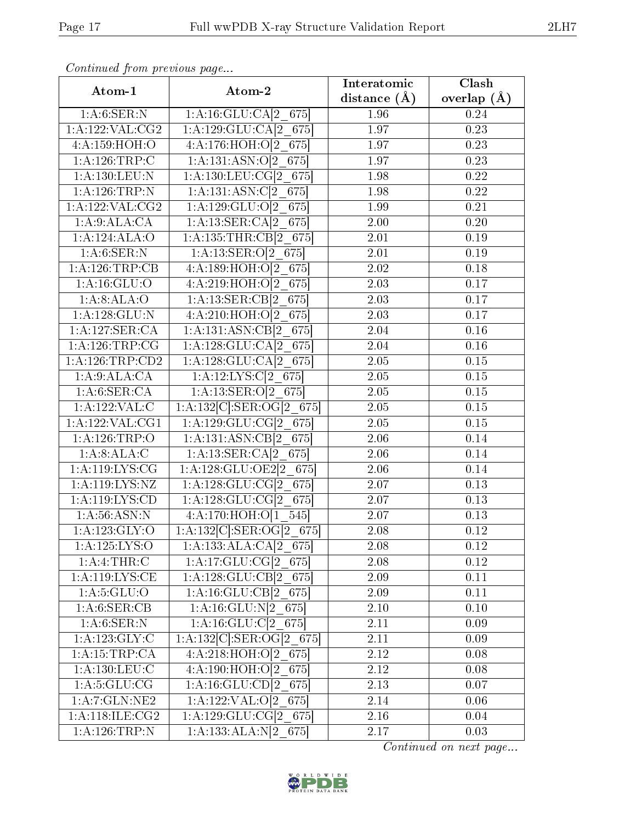| Atom-1                             | Atom-2                                | Interatomic       | Clash             |
|------------------------------------|---------------------------------------|-------------------|-------------------|
|                                    |                                       | distance $(A)$    | overlap $(\AA)$   |
| 1: A:6: SER: N                     | 1:A:16:GLU:CA[2 675]                  | 1.96              | 0.24              |
| 1:A:122:VAL:CG2                    | 1:A:129:GLU:CA[2 675]                 | 1.97              | 0.23              |
| 4:A:159:HOH:O                      | 4:A:176:HOH:O[2 675]                  | 1.97              | 0.23              |
| 1: A:126:TRP:C                     | 1:A:131:ASN:O[2 675]                  | 1.97              | 0.23              |
| 1:A:130:LEU:N                      | 1:A:130:LEU:CG[2 675]                 | 1.98              | 0.22              |
| 1:A:126:TRP:N                      | 1:A:131:ASN:C[2 675]                  | 1.98              | 0.22              |
| 1: A: 122: VAL: CG2                | 1:A:129:GLU:O[2 675]                  | 1.99              | 0.21              |
| 1:A:9:ALA:CA                       | 1:A:13:SER:CA[2 675]                  | 2.00              | 0.20              |
| 1:A:124:ALA:O                      | 1:A:135:THR:CB[2 675]                 | 2.01              | 0.19              |
| 1: A:6: SER: N                     | 1:A:13:SER:O[2 675]                   | 2.01              | 0.19              |
| 1:A:126:TRP:CB                     | 4:A:189:HOH:O[2 675]                  | 2.02              | 0.18              |
| 1: A: 16: GLU:O                    | 4:A:219:HOH:O[2 675]                  | 2.03              | 0.17              |
| 1: A:8: ALA:O                      | 1:A:13:SER:CB[2 675]                  | 2.03              | 0.17              |
| 1:A:128:GLU:N                      | 4:A:210:HOH:O[2 675]                  | 2.03              | 0.17              |
| $1:A:127:\overline{\text{SER}:CA}$ | 1:A:131:ASN:CB[2 675]                 | 2.04              | 0.16              |
| 1: A:126:TRP:CG                    | 1:A:128:GLU:CA[2 675]                 | 2.04              | 0.16              |
| 1:A:126:TRP:CD2                    | 1:A:128:GLU:CA[2 675]                 | 2.05              | 0.15              |
| 1:A:9:ALA:CA                       | 1:A:12:LYS:C[2 675]                   | 2.05              | 0.15              |
| 1: A:6: SER:CA                     | 1:A:13:SER:O[2 675]                   | 2.05              | $\overline{0.15}$ |
| 1:A:122:VAL:C                      | $1:A:132[C].SER:OG[2_675]$            | 2.05              | 0.15              |
| 1: A: 122: VAL: CG1                | 1:A:129:GLU:CG[2 675]                 | $\overline{2.05}$ | $\overline{0.15}$ |
| 1:A:126:TRP:O                      | 1:A:131:ASN:CB[2 675]                 | 2.06              | 0.14              |
| 1:A:8:ALA:C                        | 1:A:13:SER:CA[2 675]                  | 2.06              | 0.14              |
| 1: A: 119: LYS: CG                 | 1:A:128:GLU:OE2[2 675]                | 2.06              | 0.14              |
| 1: A: 119: LYS: NZ                 | 1:A:128:GLU:CG[2 675]                 | 2.07              | 0.13              |
| 1:A:119:LYS:CD                     | 1:A:128:GLU:CG[2 675]                 | 2.07              | 0.13              |
| 1: A:56: ASN: N                    | 4:A:170:HOH:O[1 545]                  | 2.07              | 0.13              |
| 1: A: 123: GLY: O                  | $1:A:132[C]:\n    SER:OG[2 675]$      | 2.08              | 0.12              |
| 1:A:125:LYS:O                      | $1:A:133:ALA:CA[2_675]$               | 2.08              | 0.12              |
| 1: A:4:THR:C                       | 1:A:17:GLU:CG[2 675]                  | 2.08              | 0.12              |
| 1:A:119:LYS:CE                     | $1:A:128:GLU:CB[2_675]$               | 2.09              | 0.11              |
| 1: A:5: GLU:O                      | 1:A:16:GLU:CB[2 675]                  | 2.09              | 0.11              |
| 1: A:6: SER:CB                     | 1:A:16:GLU:N[2 675]                   | $2.10\,$          | 0.10              |
| 1: A:6: SER: N                     | 1: A: 16: GLU: C[2 675]               | 2.11              | 0.09              |
| 1: A: 123: GLY: C                  | $1:A:132\overline{[C]:SER:OG[2 675]}$ | 2.11              | 0.09              |
| 1:A:15:TRP:CA                      | 4:A:218:HOH:O[2 675]                  | 2.12              | $0.08\,$          |
| 1:A:130:LEU:C                      | 4:A:190:HOH:O[2 675]                  | 2.12              | 0.08              |
| $1:A:5:\overline{\text{GLU:CG}}$   | $1:A:\overline{16:GLU:CD[2\_675]}$    | 2.13              | 0.07              |
| 1:A:7:GLN:NE2                      | 1:A:122:VAL: $O[2_675]$               | 2.14              | 0.06              |
| 1:A:118:ILE:CG2                    | 1:A:129:GLU:CG[2_675]                 | $2.16\,$          | 0.04              |
| 1:A:126:TRP:N                      | $1:A:133:ALA:N[2_675]$                | 2.17              | 0.03              |

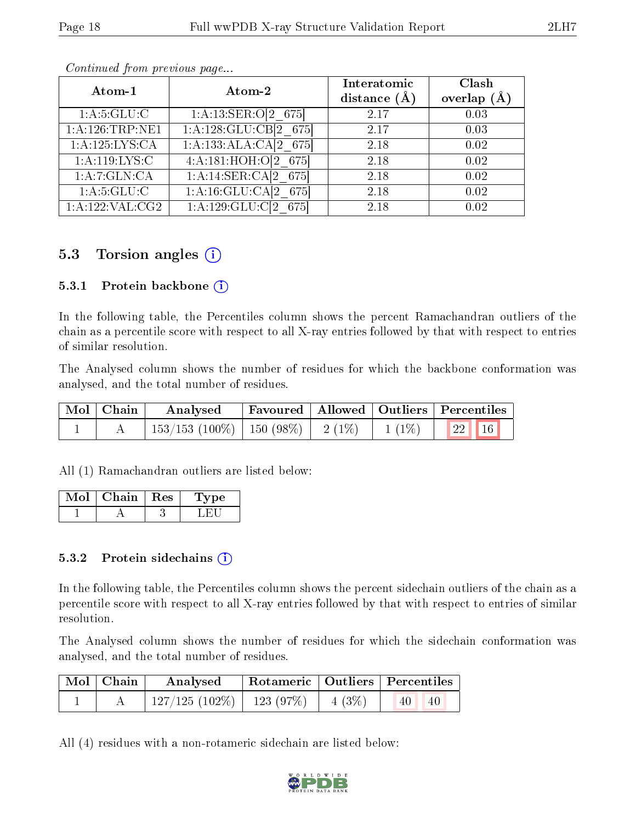| Atom-1             | Atom-2                | Interatomic<br>distance $(\AA)$ | Clash<br>overlap $(A)$ |
|--------------------|-----------------------|---------------------------------|------------------------|
| 1:A:5:GLU:C        | 1:A:13:SER:O[2 675]   | 2.17                            | 0.03                   |
| 1: A:126:TRP:NE1   | 1:A:128:GLU:CB[2 675] | 2.17                            | 0.03                   |
| 1: A: 125: LYS: CA | 1:A:133:ALA:CA[2 675] | 2.18                            | 0.02                   |
| 1: A:119: LYS: C   | 4:A:181:HOH:O[2 675]  | 2.18                            | 0.02                   |
| 1:A:7:GLN:CA       | 1:A:14:SER:CA[2 675]  | 2.18                            | 0.02                   |
| 1: A: 5: GLU: C    | 1:A:16:GLU:CA[2 675]  | 2.18                            | 0.02                   |
| 1:A:122:VAL:CG2    | $1:A:129:GLU:Cl2$ 675 | 2.18                            | 0.02                   |

### 5.3 Torsion angles (i)

#### 5.3.1 Protein backbone  $(i)$

In the following table, the Percentiles column shows the percent Ramachandran outliers of the chain as a percentile score with respect to all X-ray entries followed by that with respect to entries of similar resolution.

The Analysed column shows the number of residues for which the backbone conformation was analysed, and the total number of residues.

| $\mid$ Mol $\mid$ Chain $\mid$ | Favoured   Allowed   Outliers   Percentiles<br>Analysed |  |  |                                                  |
|--------------------------------|---------------------------------------------------------|--|--|--------------------------------------------------|
|                                | $_1$ 153/153 (100%)   150 (98%)   2 (1%)   1 (1%) $\,$  |  |  | $\begin{array}{c c c c c} & 22 & 16 \end{array}$ |

All (1) Ramachandran outliers are listed below:

| Chain | $\parallel$ Res | vpe |
|-------|-----------------|-----|
|       |                 |     |

#### 5.3.2 Protein sidechains  $(i)$

In the following table, the Percentiles column shows the percent sidechain outliers of the chain as a percentile score with respect to all X-ray entries followed by that with respect to entries of similar resolution.

The Analysed column shows the number of residues for which the sidechain conformation was analysed, and the total number of residues.

| Mol Chain | Analysed                       |          | $\perp$ Rotameric   Outliers   Percentiles |  |
|-----------|--------------------------------|----------|--------------------------------------------|--|
|           | $127/125$ (102\%)   123 (97\%) | $4(3\%)$ | 40<br>40                                   |  |

All (4) residues with a non-rotameric sidechain are listed below:

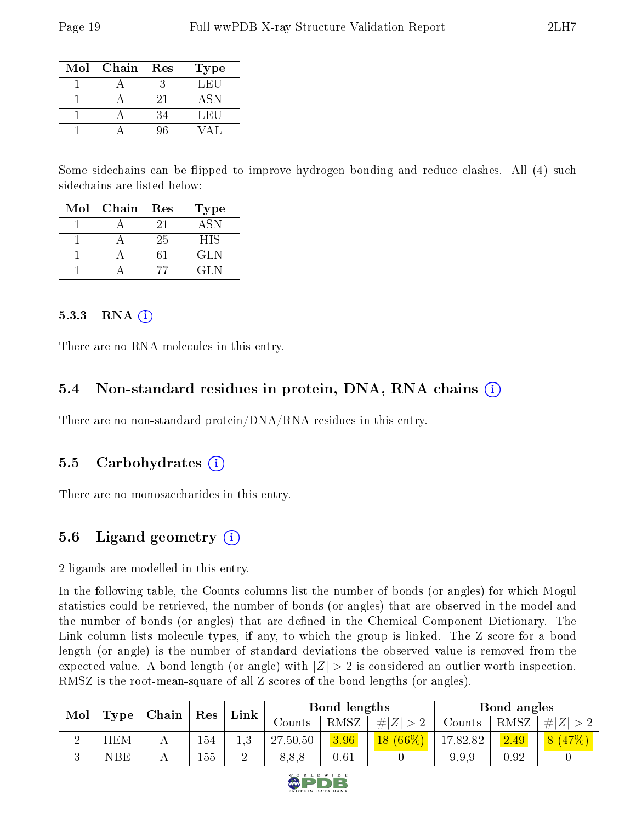| Mol | Chain | Res | <b>Type</b> |
|-----|-------|-----|-------------|
|     |       |     | LEU         |
|     |       | 21  | <b>ASN</b>  |
|     |       | 34  | LEU         |
|     |       | 96  |             |

Some sidechains can be flipped to improve hydrogen bonding and reduce clashes. All (4) such sidechains are listed below:

| Mol | Chain | Res | Type       |
|-----|-------|-----|------------|
|     |       | 21  | <b>ASN</b> |
|     |       | 25  | <b>HIS</b> |
|     |       |     | GLN        |
|     |       |     | GL N       |

#### $5.3.3$  RNA  $(i)$

There are no RNA molecules in this entry.

#### 5.4 Non-standard residues in protein, DNA, RNA chains (i)

There are no non-standard protein/DNA/RNA residues in this entry.

#### 5.5 Carbohydrates (i)

There are no monosaccharides in this entry.

## 5.6 Ligand geometry  $(i)$

2 ligands are modelled in this entry.

In the following table, the Counts columns list the number of bonds (or angles) for which Mogul statistics could be retrieved, the number of bonds (or angles) that are observed in the model and the number of bonds (or angles) that are defined in the Chemical Component Dictionary. The Link column lists molecule types, if any, to which the group is linked. The Z score for a bond length (or angle) is the number of standard deviations the observed value is removed from the expected value. A bond length (or angle) with  $|Z| > 2$  is considered an outlier worth inspection. RMSZ is the root-mean-square of all Z scores of the bond lengths (or angles).

| Mol    | Type         |  | Link |     | Chain<br>Res |          |                                  | Bond lengths |      |            | Bond angles |  |
|--------|--------------|--|------|-----|--------------|----------|----------------------------------|--------------|------|------------|-------------|--|
|        |              |  |      |     | Counts       | RMSZ     | # $\left\vert Z\right\vert$<br># | Counts       | RMSZ | $\# Z $    |             |  |
| റ<br>↵ | <b>HEM</b>   |  | 154  | 1,3 | 27,50,50     | 3.96     | $(66\%)$<br>18 <sup>°</sup>      | 17,82,82     | 2.49 | 8<br>(47%) |             |  |
| k)     | $_{\rm NBE}$ |  | 155  |     | 8,8,8        | $0.61\,$ |                                  | 9,9,9        | 0.92 |            |             |  |

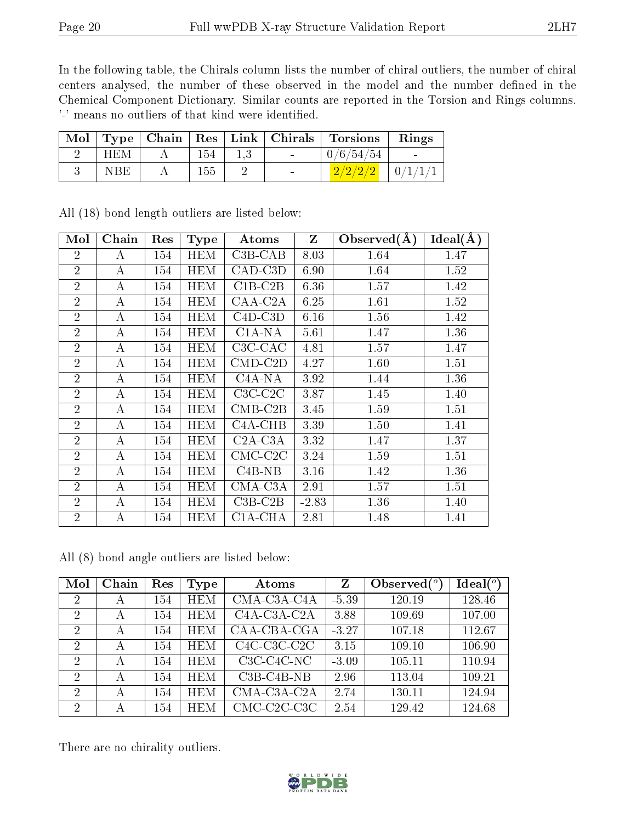In the following table, the Chirals column lists the number of chiral outliers, the number of chiral centers analysed, the number of these observed in the model and the number defined in the Chemical Component Dictionary. Similar counts are reported in the Torsion and Rings columns. '-' means no outliers of that kind were identified.

| Mol | $\top$ Type |     | $\mid$ Chain $\mid$ Res $\mid$ Link $\mid$ Chirals | Torsions  | Rings          |
|-----|-------------|-----|----------------------------------------------------|-----------|----------------|
|     | HEM         | 154 | $\sim$                                             | 0/6/54/54 | $\sim$         |
|     | NBE         | 155 | $\blacksquare$                                     | 2/2/2/2   | $_+$ $0/1/1/1$ |

| Mol            | Chain            | Res | <b>Type</b> | Atoms                            | $\mathbf{Z}$ | Observed $(A)$ | $Ideal(\AA)$ |
|----------------|------------------|-----|-------------|----------------------------------|--------------|----------------|--------------|
| $\overline{2}$ | A                | 154 | <b>HEM</b>  | $C3B-CAB$                        | 8.03         | 1.64           | 1.47         |
| $\overline{2}$ | A                | 154 | <b>HEM</b>  | CAD-C3D                          | 6.90         | 1.64           | 1.52         |
| $\overline{2}$ | А                | 154 | <b>HEM</b>  | $C1B-C2B$                        | 6.36         | 1.57           | 1.42         |
| $\overline{2}$ | $\bf{A}$         | 154 | <b>HEM</b>  | CAA-C2A                          | 6.25         | 1.61           | 1.52         |
| $\overline{2}$ | A                | 154 | <b>HEM</b>  | $C4D-C3D$                        | 6.16         | 1.56           | 1.42         |
| $\overline{2}$ | A                | 154 | <b>HEM</b>  | $C1A-NA$                         | 5.61         | 1.47           | 1.36         |
| $\overline{2}$ | А                | 154 | <b>HEM</b>  | $C3C-CAC$                        | 4.81         | 1.57           | 1.47         |
| $\overline{2}$ | $\boldsymbol{A}$ | 154 | <b>HEM</b>  | $CMD$ - $C2D$                    | 4.27         | 1.60           | 1.51         |
| $\overline{2}$ | A                | 154 | <b>HEM</b>  | $C4A-NA$                         | 3.92         | 1.44           | 1.36         |
| $\overline{2}$ | А                | 154 | <b>HEM</b>  | $C3C-C2C$                        | 3.87         | 1.45           | 1.40         |
| $\overline{2}$ | A                | 154 | <b>HEM</b>  | $CMB-C2B$                        | 3.45         | 1.59           | 1.51         |
| $\overline{2}$ | А                | 154 | <b>HEM</b>  | C <sub>4</sub> A <sub>-CHB</sub> | 3.39         | 1.50           | 1.41         |
| $\overline{2}$ | А                | 154 | <b>HEM</b>  | $C2A-C3A$                        | 3.32         | 1.47           | 1.37         |
| $\overline{2}$ | А                | 154 | <b>HEM</b>  | $CMC-C2C$                        | 3.24         | 1.59           | 1.51         |
| $\overline{2}$ | $\boldsymbol{A}$ | 154 | <b>HEM</b>  | $C4B-NB$                         | 3.16         | 1.42           | 1.36         |
| $\overline{2}$ | $\boldsymbol{A}$ | 154 | <b>HEM</b>  | $CMA-C3A$                        | 2.91         | 1.57           | 1.51         |
| $\overline{2}$ | $\boldsymbol{A}$ | 154 | <b>HEM</b>  | $C3B-C2B$                        | $-2.83$      | 1.36           | 1.40         |
| $\overline{2}$ | А                | 154 | <b>HEM</b>  | C1A-CHA                          | 2.81         | 1.48           | 1.41         |

All (18) bond length outliers are listed below:

All (8) bond angle outliers are listed below:

| Mol            | Chain | Res | Type       | Atoms                                              | Z       | Observed $(°)$ | Ideal $(^\circ)$ |
|----------------|-------|-----|------------|----------------------------------------------------|---------|----------------|------------------|
| $\overline{2}$ | А     | 154 | <b>HEM</b> | CMA-C3A-C4A                                        | $-5.39$ | 120.19         | 128.46           |
| 2              | А     | 154 | <b>HEM</b> | C <sub>4</sub> A-C <sub>3</sub> A-C <sub>2</sub> A | 3.88    | 109.69         | 107.00           |
| $\overline{2}$ | А     | 154 | <b>HEM</b> | CAA-CBA-CGA                                        | $-3.27$ | 107.18         | 112.67           |
| 2              | А     | 154 | <b>HEM</b> | $C4C-C3C-C2C$                                      | 3.15    | 109.10         | 106.90           |
| $\overline{2}$ | А     | 154 | <b>HEM</b> | $C3C-C4C-NC$                                       | $-3.09$ | 105.11         | 110.94           |
| $\overline{2}$ | А     | 154 | <b>HEM</b> | $C3B-C4B-NB$                                       | 2.96    | 113.04         | 109.21           |
| $\overline{2}$ | А     | 154 | <b>HEM</b> | CMA-C3A-C2A                                        | 2.74    | 130.11         | 124.94           |
| $\overline{2}$ | А     | 154 | <b>HEM</b> | CMC-C2C-C3C                                        | 2.54    | 129.42         | 124.68           |

There are no chirality outliers.

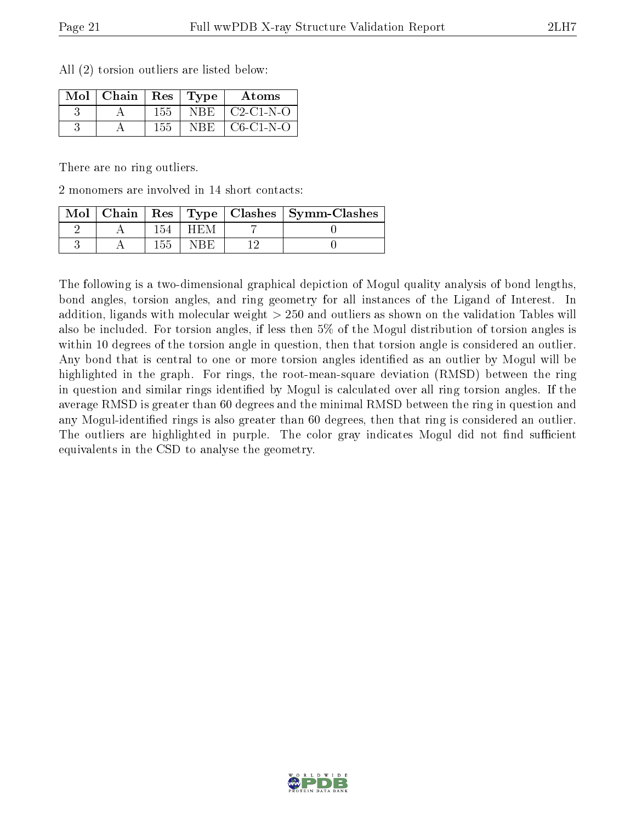|  |  | All (2) torsion outliers are listed below: |  |  |  |  |  |
|--|--|--------------------------------------------|--|--|--|--|--|
|--|--|--------------------------------------------|--|--|--|--|--|

| $Mol$   Chain |     | $\pm$ Res $\pm$ Type | Atoms       |
|---------------|-----|----------------------|-------------|
|               | 155 | NBE.                 | $C2-C1-N-O$ |
|               | 155 | NBE                  | $C6-C1-N-O$ |

There are no ring outliers.

2 monomers are involved in 14 short contacts:

| $Mol$   Chain |  | Res   Type   Clashes   Symm-Clashes |
|---------------|--|-------------------------------------|
|               |  |                                     |
|               |  |                                     |

The following is a two-dimensional graphical depiction of Mogul quality analysis of bond lengths, bond angles, torsion angles, and ring geometry for all instances of the Ligand of Interest. In addition, ligands with molecular weight > 250 and outliers as shown on the validation Tables will also be included. For torsion angles, if less then 5% of the Mogul distribution of torsion angles is within 10 degrees of the torsion angle in question, then that torsion angle is considered an outlier. Any bond that is central to one or more torsion angles identified as an outlier by Mogul will be highlighted in the graph. For rings, the root-mean-square deviation (RMSD) between the ring in question and similar rings identified by Mogul is calculated over all ring torsion angles. If the average RMSD is greater than 60 degrees and the minimal RMSD between the ring in question and any Mogul-identied rings is also greater than 60 degrees, then that ring is considered an outlier. The outliers are highlighted in purple. The color gray indicates Mogul did not find sufficient equivalents in the CSD to analyse the geometry.

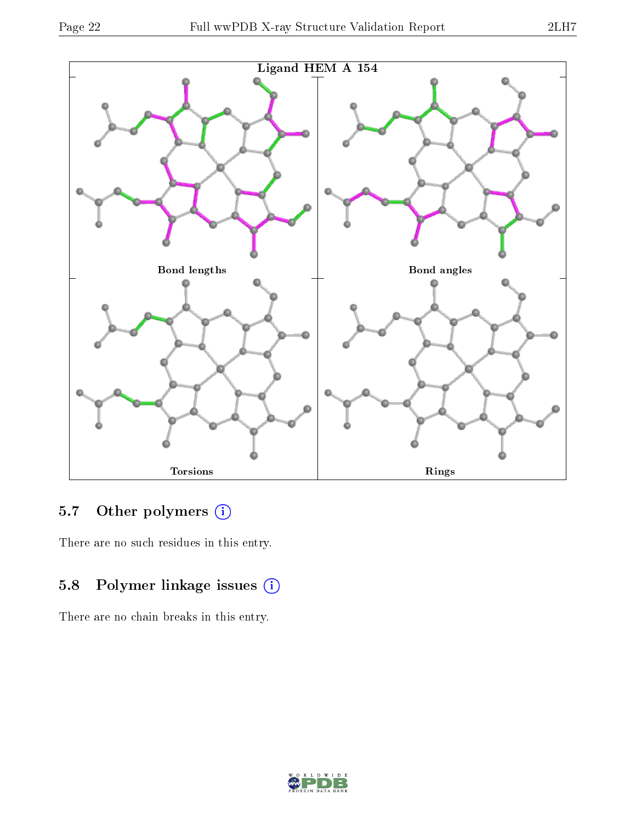



# 5.7 [O](https://www.wwpdb.org/validation/2017/XrayValidationReportHelp#nonstandard_residues_and_ligands)ther polymers (i)

There are no such residues in this entry.

# 5.8 Polymer linkage issues (i)

There are no chain breaks in this entry.

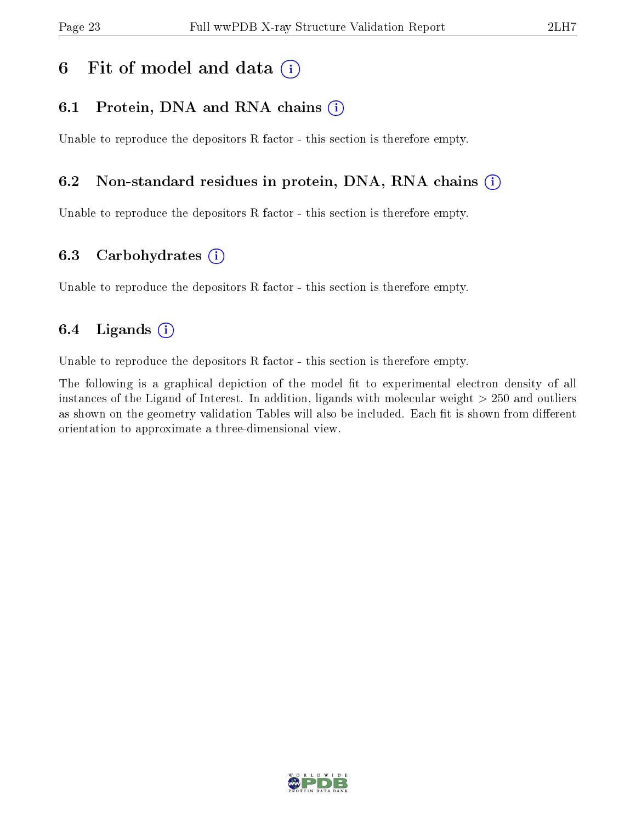## 6 Fit of model and data  $(i)$

### 6.1 Protein, DNA and RNA chains  $(i)$

Unable to reproduce the depositors R factor - this section is therefore empty.

### 6.2 Non-standard residues in protein, DNA, RNA chains (i)

Unable to reproduce the depositors R factor - this section is therefore empty.

### 6.3 Carbohydrates (i)

Unable to reproduce the depositors R factor - this section is therefore empty.

### 6.4 Ligands  $(i)$

Unable to reproduce the depositors R factor - this section is therefore empty.

The following is a graphical depiction of the model fit to experimental electron density of all instances of the Ligand of Interest. In addition, ligands with molecular weight > 250 and outliers as shown on the geometry validation Tables will also be included. Each fit is shown from different orientation to approximate a three-dimensional view.